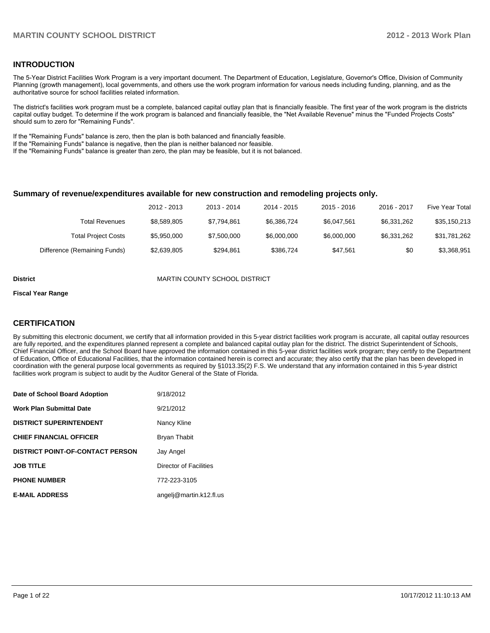#### **INTRODUCTION**

The 5-Year District Facilities Work Program is a very important document. The Department of Education, Legislature, Governor's Office, Division of Community Planning (growth management), local governments, and others use the work program information for various needs including funding, planning, and as the authoritative source for school facilities related information.

The district's facilities work program must be a complete, balanced capital outlay plan that is financially feasible. The first year of the work program is the districts capital outlay budget. To determine if the work program is balanced and financially feasible, the "Net Available Revenue" minus the "Funded Projects Costs" should sum to zero for "Remaining Funds".

If the "Remaining Funds" balance is zero, then the plan is both balanced and financially feasible.

If the "Remaining Funds" balance is negative, then the plan is neither balanced nor feasible.

If the "Remaining Funds" balance is greater than zero, the plan may be feasible, but it is not balanced.

#### **Summary of revenue/expenditures available for new construction and remodeling projects only.**

|                              | 2012 - 2013 | 2013 - 2014 | 2014 - 2015 | $2015 - 2016$ | 2016 - 2017 | <b>Five Year Total</b> |
|------------------------------|-------------|-------------|-------------|---------------|-------------|------------------------|
| Total Revenues               | \$8,589,805 | \$7.794.861 | \$6.386.724 | \$6.047.561   | \$6.331.262 | \$35,150,213           |
| <b>Total Project Costs</b>   | \$5.950.000 | \$7,500,000 | \$6,000,000 | \$6,000,000   | \$6.331.262 | \$31,781,262           |
| Difference (Remaining Funds) | \$2,639,805 | \$294.861   | \$386.724   | \$47.561      | \$0         | \$3,368,951            |

**District District MARTIN COUNTY SCHOOL DISTRICT** 

#### **Fiscal Year Range**

#### **CERTIFICATION**

By submitting this electronic document, we certify that all information provided in this 5-year district facilities work program is accurate, all capital outlay resources are fully reported, and the expenditures planned represent a complete and balanced capital outlay plan for the district. The district Superintendent of Schools, Chief Financial Officer, and the School Board have approved the information contained in this 5-year district facilities work program; they certify to the Department of Education, Office of Educational Facilities, that the information contained herein is correct and accurate; they also certify that the plan has been developed in coordination with the general purpose local governments as required by §1013.35(2) F.S. We understand that any information contained in this 5-year district facilities work program is subject to audit by the Auditor General of the State of Florida.

| Date of School Board Adoption           | 9/18/2012               |
|-----------------------------------------|-------------------------|
| <b>Work Plan Submittal Date</b>         | 9/21/2012               |
| <b>DISTRICT SUPERINTENDENT</b>          | Nancy Kline             |
| <b>CHIEF FINANCIAL OFFICER</b>          | Bryan Thabit            |
| <b>DISTRICT POINT-OF-CONTACT PERSON</b> | Jay Angel               |
| <b>JOB TITLE</b>                        | Director of Facilities  |
| <b>PHONE NUMBER</b>                     | 772-223-3105            |
| <b>E-MAIL ADDRESS</b>                   | angelj@martin.k12.fl.us |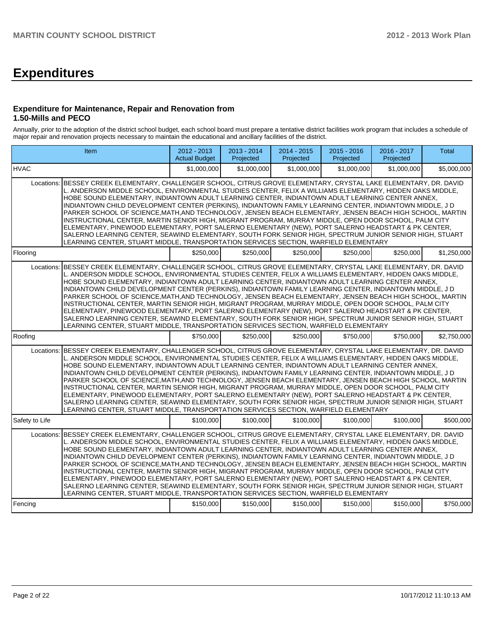# **Expenditures**

#### **Expenditure for Maintenance, Repair and Renovation from 1.50-Mills and PECO**

Annually, prior to the adoption of the district school budget, each school board must prepare a tentative district facilities work program that includes a schedule of major repair and renovation projects necessary to maintain the educational and ancillary facilities of the district.

|                | Item                                                                                                                                                                                                                                                                                                                                                                                                                                                                                                                                                                                                                                                                                                                                                                                                                                                                                                                                                                             | 2012 - 2013<br><b>Actual Budget</b> | 2013 - 2014<br>Projected | $2014 - 2015$<br>Projected | 2015 - 2016<br>Projected | 2016 - 2017<br>Projected | <b>Total</b> |
|----------------|----------------------------------------------------------------------------------------------------------------------------------------------------------------------------------------------------------------------------------------------------------------------------------------------------------------------------------------------------------------------------------------------------------------------------------------------------------------------------------------------------------------------------------------------------------------------------------------------------------------------------------------------------------------------------------------------------------------------------------------------------------------------------------------------------------------------------------------------------------------------------------------------------------------------------------------------------------------------------------|-------------------------------------|--------------------------|----------------------------|--------------------------|--------------------------|--------------|
| <b>HVAC</b>    |                                                                                                                                                                                                                                                                                                                                                                                                                                                                                                                                                                                                                                                                                                                                                                                                                                                                                                                                                                                  | \$1,000,000                         | \$1,000,000              | \$1,000,000                | \$1,000,000              | \$1,000,000              | \$5,000,000  |
|                | Locations: BESSEY CREEK ELEMENTARY. CHALLENGER SCHOOL. CITRUS GROVE ELEMENTARY. CRYSTAL LAKE ELEMENTARY. DR. DAVID<br>L. ANDERSON MIDDLE SCHOOL, ENVIRONMENTAL STUDIES CENTER, FELIX A WILLIAMS ELEMENTARY, HIDDEN OAKS MIDDLE,<br>HOBE SOUND ELEMENTARY, INDIANTOWN ADULT LEARNING CENTER, INDIANTOWN ADULT LEARNING CENTER ANNEX,<br>INDIANTOWN CHILD DEVELOPMENT CENTER (PERKINS), INDIANTOWN FAMILY LEARNING CENTER, INDIANTOWN MIDDLE, J D<br>PARKER SCHOOL OF SCIENCE, MATH, AND TECHNOLOGY, JENSEN BEACH ELEMENTARY, JENSEN BEACH HIGH SCHOOL, MARTIN<br>INSTRUCTIONAL CENTER, MARTIN SENIOR HIGH, MIGRANT PROGRAM, MURRAY MIDDLE, OPEN DOOR SCHOOL, PALM CITY<br>ELEMENTARY, PINEWOOD ELEMENTARY, PORT SALERNO ELEMENTARY (NEW), PORT SALERNO HEADSTART & PK CENTER,<br>SALERNO LEARNING CENTER, SEAWIND ELEMENTARY, SOUTH FORK SENIOR HIGH, SPECTRUM JUNIOR SENIOR HIGH, STUART<br>LEARNING CENTER, STUART MIDDLE, TRANSPORTATION SERVICES SECTION, WARFIELD ELEMENTARY |                                     |                          |                            |                          |                          |              |
| Flooring       |                                                                                                                                                                                                                                                                                                                                                                                                                                                                                                                                                                                                                                                                                                                                                                                                                                                                                                                                                                                  | \$250,000                           | \$250,000                | \$250,000                  | \$250,000                | \$250,000                | \$1,250,000  |
| Locations:     | BESSEY CREEK ELEMENTARY, CHALLENGER SCHOOL, CITRUS GROVE ELEMENTARY, CRYSTAL LAKE ELEMENTARY, DR. DAVID<br>L. ANDERSON MIDDLE SCHOOL, ENVIRONMENTAL STUDIES CENTER, FELIX A WILLIAMS ELEMENTARY, HIDDEN OAKS MIDDLE,<br>HOBE SOUND ELEMENTARY, INDIANTOWN ADULT LEARNING CENTER, INDIANTOWN ADULT LEARNING CENTER ANNEX,<br>INDIANTOWN CHILD DEVELOPMENT CENTER (PERKINS), INDIANTOWN FAMILY LEARNING CENTER, INDIANTOWN MIDDLE, J D<br>PARKER SCHOOL OF SCIENCE, MATH, AND TECHNOLOGY, JENSEN BEACH ELEMENTARY, JENSEN BEACH HIGH SCHOOL, MARTIN<br>INSTRUCTIONAL CENTER, MARTIN SENIOR HIGH, MIGRANT PROGRAM, MURRAY MIDDLE, OPEN DOOR SCHOOL, PALM CITY<br>ELEMENTARY, PINEWOOD ELEMENTARY, PORT SALERNO ELEMENTARY (NEW), PORT SALERNO HEADSTART & PK CENTER,<br>SALERNO LEARNING CENTER, SEAWIND ELEMENTARY, SOUTH FORK SENIOR HIGH, SPECTRUM JUNIOR SENIOR HIGH, STUART<br>LEARNING CENTER, STUART MIDDLE, TRANSPORTATION SERVICES SECTION, WARFIELD ELEMENTARY            |                                     |                          |                            |                          |                          |              |
| Roofing        |                                                                                                                                                                                                                                                                                                                                                                                                                                                                                                                                                                                                                                                                                                                                                                                                                                                                                                                                                                                  | \$750,000                           | \$250,000                | \$250,000                  | \$750,000                | \$750,000                | \$2,750,000  |
|                | Locations: BESSEY CREEK ELEMENTARY, CHALLENGER SCHOOL, CITRUS GROVE ELEMENTARY, CRYSTAL LAKE ELEMENTARY, DR. DAVID<br>L. ANDERSON MIDDLE SCHOOL, ENVIRONMENTAL STUDIES CENTER, FELIX A WILLIAMS ELEMENTARY, HIDDEN OAKS MIDDLE,<br>HOBE SOUND ELEMENTARY, INDIANTOWN ADULT LEARNING CENTER, INDIANTOWN ADULT LEARNING CENTER ANNEX,<br>INDIANTOWN CHILD DEVELOPMENT CENTER (PERKINS), INDIANTOWN FAMILY LEARNING CENTER, INDIANTOWN MIDDLE, J D<br>PARKER SCHOOL OF SCIENCE, MATH, AND TECHNOLOGY, JENSEN BEACH ELEMENTARY, JENSEN BEACH HIGH SCHOOL, MARTIN<br>INSTRUCTIONAL CENTER, MARTIN SENIOR HIGH, MIGRANT PROGRAM, MURRAY MIDDLE, OPEN DOOR SCHOOL, PALM CITY<br>ELEMENTARY, PINEWOOD ELEMENTARY, PORT SALERNO ELEMENTARY (NEW), PORT SALERNO HEADSTART & PK CENTER,<br>SALERNO LEARNING CENTER, SEAWIND ELEMENTARY, SOUTH FORK SENIOR HIGH, SPECTRUM JUNIOR SENIOR HIGH, STUART<br>LEARNING CENTER, STUART MIDDLE, TRANSPORTATION SERVICES SECTION, WARFIELD ELEMENTARY |                                     |                          |                            |                          |                          |              |
| Safety to Life |                                                                                                                                                                                                                                                                                                                                                                                                                                                                                                                                                                                                                                                                                                                                                                                                                                                                                                                                                                                  | \$100,000                           | \$100,000                | \$100,000                  | \$100,000                | \$100,000                | \$500,000    |
| Locations:     | BESSEY CREEK ELEMENTARY, CHALLENGER SCHOOL, CITRUS GROVE ELEMENTARY, CRYSTAL LAKE ELEMENTARY, DR. DAVID<br>L. ANDERSON MIDDLE SCHOOL, ENVIRONMENTAL STUDIES CENTER, FELIX A WILLIAMS ELEMENTARY, HIDDEN OAKS MIDDLE,<br>HOBE SOUND ELEMENTARY, INDIANTOWN ADULT LEARNING CENTER, INDIANTOWN ADULT LEARNING CENTER ANNEX,<br>INDIANTOWN CHILD DEVELOPMENT CENTER (PERKINS), INDIANTOWN FAMILY LEARNING CENTER, INDIANTOWN MIDDLE, J D<br>PARKER SCHOOL OF SCIENCE, MATH, AND TECHNOLOGY, JENSEN BEACH ELEMENTARY, JENSEN BEACH HIGH SCHOOL, MARTIN<br>INSTRUCTIONAL CENTER, MARTIN SENIOR HIGH, MIGRANT PROGRAM, MURRAY MIDDLE, OPEN DOOR SCHOOL, PALM CITY<br>ELEMENTARY, PINEWOOD ELEMENTARY, PORT SALERNO ELEMENTARY (NEW), PORT SALERNO HEADSTART & PK CENTER,<br>SALERNO LEARNING CENTER, SEAWIND ELEMENTARY, SOUTH FORK SENIOR HIGH, SPECTRUM JUNIOR SENIOR HIGH, STUART<br>LEARNING CENTER, STUART MIDDLE, TRANSPORTATION SERVICES SECTION, WARFIELD ELEMENTARY            |                                     |                          |                            |                          |                          |              |
| Fencing        |                                                                                                                                                                                                                                                                                                                                                                                                                                                                                                                                                                                                                                                                                                                                                                                                                                                                                                                                                                                  | \$150,000                           | \$150,000                | \$150,000                  | \$150,000                | \$150,000                | \$750,000    |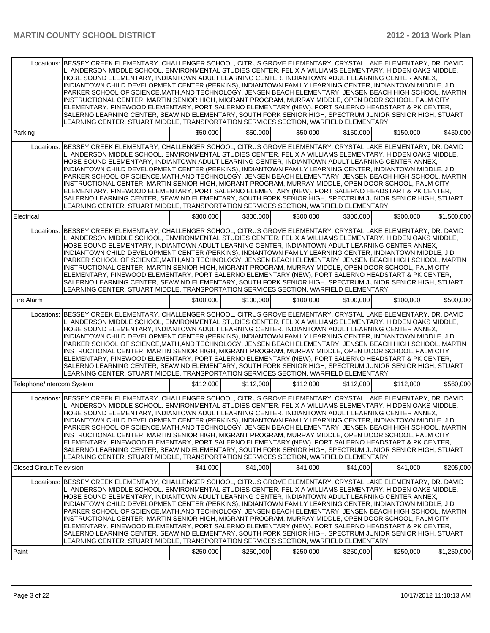|                                  | Locations: BESSEY CREEK ELEMENTARY, CHALLENGER SCHOOL, CITRUS GROVE ELEMENTARY, CRYSTAL LAKE ELEMENTARY, DR. DAVID<br>L. ANDERSON MIDDLE SCHOOL, ENVIRONMENTAL STUDIES CENTER, FELIX A WILLIAMS ELEMENTARY, HIDDEN OAKS MIDDLE,<br>HOBE SOUND ELEMENTARY, INDIANTOWN ADULT LEARNING CENTER, INDIANTOWN ADULT LEARNING CENTER ANNEX,<br>INDIANTOWN CHILD DEVELOPMENT CENTER (PERKINS), INDIANTOWN FAMILY LEARNING CENTER, INDIANTOWN MIDDLE, J D<br>PARKER SCHOOL OF SCIENCE, MATH, AND TECHNOLOGY, JENSEN BEACH ELEMENTARY, JENSEN BEACH HIGH SCHOOL, MARTIN<br>INSTRUCTIONAL CENTER, MARTIN SENIOR HIGH, MIGRANT PROGRAM, MURRAY MIDDLE, OPEN DOOR SCHOOL, PALM CITY<br>ELEMENTARY, PINEWOOD ELEMENTARY, PORT SALERNO ELEMENTARY (NEW), PORT SALERNO HEADSTART & PK CENTER,<br>SALERNO LEARNING CENTER, SEAWIND ELEMENTARY, SOUTH FORK SENIOR HIGH, SPECTRUM JUNIOR SENIOR HIGH, STUART<br>LEARNING CENTER, STUART MIDDLE, TRANSPORTATION SERVICES SECTION, WARFIELD ELEMENTARY |           |           |           |           |           |             |
|----------------------------------|----------------------------------------------------------------------------------------------------------------------------------------------------------------------------------------------------------------------------------------------------------------------------------------------------------------------------------------------------------------------------------------------------------------------------------------------------------------------------------------------------------------------------------------------------------------------------------------------------------------------------------------------------------------------------------------------------------------------------------------------------------------------------------------------------------------------------------------------------------------------------------------------------------------------------------------------------------------------------------|-----------|-----------|-----------|-----------|-----------|-------------|
| Parking                          |                                                                                                                                                                                                                                                                                                                                                                                                                                                                                                                                                                                                                                                                                                                                                                                                                                                                                                                                                                                  | \$50,000  | \$50,000  | \$50,000  | \$150,000 | \$150,000 | \$450,000   |
|                                  | Locations: BESSEY CREEK ELEMENTARY, CHALLENGER SCHOOL, CITRUS GROVE ELEMENTARY, CRYSTAL LAKE ELEMENTARY, DR. DAVID<br>L. ANDERSON MIDDLE SCHOOL, ENVIRONMENTAL STUDIES CENTER, FELIX A WILLIAMS ELEMENTARY, HIDDEN OAKS MIDDLE,<br>HOBE SOUND ELEMENTARY, INDIANTOWN ADULT LEARNING CENTER, INDIANTOWN ADULT LEARNING CENTER ANNEX,<br>INDIANTOWN CHILD DEVELOPMENT CENTER (PERKINS), INDIANTOWN FAMILY LEARNING CENTER, INDIANTOWN MIDDLE, J D<br>PARKER SCHOOL OF SCIENCE, MATH, AND TECHNOLOGY, JENSEN BEACH ELEMENTARY, JENSEN BEACH HIGH SCHOOL, MARTIN<br>INSTRUCTIONAL CENTER, MARTIN SENIOR HIGH, MIGRANT PROGRAM, MURRAY MIDDLE, OPEN DOOR SCHOOL, PALM CITY<br>ELEMENTARY, PINEWOOD ELEMENTARY, PORT SALERNO ELEMENTARY (NEW), PORT SALERNO HEADSTART & PK CENTER,<br>SALERNO LEARNING CENTER, SEAWIND ELEMENTARY, SOUTH FORK SENIOR HIGH, SPECTRUM JUNIOR SENIOR HIGH, STUART<br>LEARNING CENTER, STUART MIDDLE, TRANSPORTATION SERVICES SECTION, WARFIELD ELEMENTARY |           |           |           |           |           |             |
| Electrical                       |                                                                                                                                                                                                                                                                                                                                                                                                                                                                                                                                                                                                                                                                                                                                                                                                                                                                                                                                                                                  | \$300,000 | \$300,000 | \$300,000 | \$300,000 | \$300,000 | \$1,500,000 |
| Locations:                       | BESSEY CREEK ELEMENTARY, CHALLENGER SCHOOL, CITRUS GROVE ELEMENTARY, CRYSTAL LAKE ELEMENTARY, DR. DAVID<br>L. ANDERSON MIDDLE SCHOOL, ENVIRONMENTAL STUDIES CENTER, FELIX A WILLIAMS ELEMENTARY, HIDDEN OAKS MIDDLE,<br>HOBE SOUND ELEMENTARY, INDIANTOWN ADULT LEARNING CENTER, INDIANTOWN ADULT LEARNING CENTER ANNEX,<br>INDIANTOWN CHILD DEVELOPMENT CENTER (PERKINS), INDIANTOWN FAMILY LEARNING CENTER, INDIANTOWN MIDDLE, J D<br>PARKER SCHOOL OF SCIENCE, MATH, AND TECHNOLOGY, JENSEN BEACH ELEMENTARY, JENSEN BEACH HIGH SCHOOL, MARTIN<br>INSTRUCTIONAL CENTER, MARTIN SENIOR HIGH, MIGRANT PROGRAM, MURRAY MIDDLE, OPEN DOOR SCHOOL, PALM CITY<br>ELEMENTARY, PINEWOOD ELEMENTARY, PORT SALERNO ELEMENTARY (NEW), PORT SALERNO HEADSTART & PK CENTER,<br>SALERNO LEARNING CENTER, SEAWIND ELEMENTARY, SOUTH FORK SENIOR HIGH, SPECTRUM JUNIOR SENIOR HIGH, STUART<br>LEARNING CENTER, STUART MIDDLE, TRANSPORTATION SERVICES SECTION, WARFIELD ELEMENTARY            |           |           |           |           |           |             |
| Fire Alarm                       |                                                                                                                                                                                                                                                                                                                                                                                                                                                                                                                                                                                                                                                                                                                                                                                                                                                                                                                                                                                  | \$100,000 | \$100,000 | \$100,000 | \$100,000 | \$100,000 | \$500,000   |
|                                  | Locations: BESSEY CREEK ELEMENTARY, CHALLENGER SCHOOL, CITRUS GROVE ELEMENTARY, CRYSTAL LAKE ELEMENTARY, DR. DAVID<br>L. ANDERSON MIDDLE SCHOOL, ENVIRONMENTAL STUDIES CENTER, FELIX A WILLIAMS ELEMENTARY, HIDDEN OAKS MIDDLE,<br>HOBE SOUND ELEMENTARY, INDIANTOWN ADULT LEARNING CENTER, INDIANTOWN ADULT LEARNING CENTER ANNEX,<br>INDIANTOWN CHILD DEVELOPMENT CENTER (PERKINS), INDIANTOWN FAMILY LEARNING CENTER, INDIANTOWN MIDDLE, J D<br>PARKER SCHOOL OF SCIENCE, MATH, AND TECHNOLOGY, JENSEN BEACH ELEMENTARY, JENSEN BEACH HIGH SCHOOL, MARTIN<br>INSTRUCTIONAL CENTER, MARTIN SENIOR HIGH, MIGRANT PROGRAM, MURRAY MIDDLE, OPEN DOOR SCHOOL, PALM CITY<br>ELEMENTARY, PINEWOOD ELEMENTARY, PORT SALERNO ELEMENTARY (NEW), PORT SALERNO HEADSTART & PK CENTER,<br>SALERNO LEARNING CENTER, SEAWIND ELEMENTARY, SOUTH FORK SENIOR HIGH, SPECTRUM JUNIOR SENIOR HIGH, STUART<br>LEARNING CENTER, STUART MIDDLE, TRANSPORTATION SERVICES SECTION, WARFIELD ELEMENTARY |           |           |           |           |           |             |
| Telephone/Intercom System        |                                                                                                                                                                                                                                                                                                                                                                                                                                                                                                                                                                                                                                                                                                                                                                                                                                                                                                                                                                                  | \$112,000 | \$112,000 | \$112,000 | \$112,000 | \$112,000 | \$560,000   |
|                                  | Locations: BESSEY CREEK ELEMENTARY, CHALLENGER SCHOOL, CITRUS GROVE ELEMENTARY, CRYSTAL LAKE ELEMENTARY, DR. DAVID<br>L. ANDERSON MIDDLE SCHOOL, ENVIRONMENTAL STUDIES CENTER, FELIX A WILLIAMS ELEMENTARY, HIDDEN OAKS MIDDLE,<br>HOBE SOUND ELEMENTARY, INDIANTOWN ADULT LEARNING CENTER, INDIANTOWN ADULT LEARNING CENTER ANNEX,<br>INDIANTOWN CHILD DEVELOPMENT CENTER (PERKINS), INDIANTOWN FAMILY LEARNING CENTER, INDIANTOWN MIDDLE, J D<br>PARKER SCHOOL OF SCIENCE, MATH, AND TECHNOLOGY, JENSEN BEACH ELEMENTARY, JENSEN BEACH HIGH SCHOOL, MARTIN<br>INSTRUCTIONAL CENTER, MARTIN SENIOR HIGH, MIGRANT PROGRAM, MURRAY MIDDLE, OPEN DOOR SCHOOL, PALM CITY<br>ELEMENTARY, PINEWOOD ELEMENTARY, PORT SALERNO ELEMENTARY (NEW), PORT SALERNO HEADSTART & PK CENTER,<br>SALERNO LEARNING CENTER, SEAWIND ELEMENTARY, SOUTH FORK SENIOR HIGH, SPECTRUM JUNIOR SENIOR HIGH, STUART<br>LEARNING CENTER, STUART MIDDLE, TRANSPORTATION SERVICES SECTION, WARFIELD ELEMENTARY |           |           |           |           |           |             |
| <b>Closed Circuit Television</b> |                                                                                                                                                                                                                                                                                                                                                                                                                                                                                                                                                                                                                                                                                                                                                                                                                                                                                                                                                                                  | \$41.000  | \$41,000  | \$41.000  | \$41,000  | \$41,000  | \$205,000   |
|                                  | Locations: BESSEY CREEK ELEMENTARY, CHALLENGER SCHOOL, CITRUS GROVE ELEMENTARY, CRYSTAL LAKE ELEMENTARY, DR, DAVID<br>L. ANDERSON MIDDLE SCHOOL, ENVIRONMENTAL STUDIES CENTER, FELIX A WILLIAMS ELEMENTARY, HIDDEN OAKS MIDDLE,<br>HOBE SOUND ELEMENTARY, INDIANTOWN ADULT LEARNING CENTER, INDIANTOWN ADULT LEARNING CENTER ANNEX,<br>INDIANTOWN CHILD DEVELOPMENT CENTER (PERKINS), INDIANTOWN FAMILY LEARNING CENTER, INDIANTOWN MIDDLE, J D<br>PARKER SCHOOL OF SCIENCE, MATH, AND TECHNOLOGY, JENSEN BEACH ELEMENTARY, JENSEN BEACH HIGH SCHOOL, MARTIN<br>INSTRUCTIONAL CENTER, MARTIN SENIOR HIGH, MIGRANT PROGRAM, MURRAY MIDDLE, OPEN DOOR SCHOOL, PALM CITY<br>ELEMENTARY, PINEWOOD ELEMENTARY, PORT SALERNO ELEMENTARY (NEW), PORT SALERNO HEADSTART & PK CENTER,<br>SALERNO LEARNING CENTER, SEAWIND ELEMENTARY, SOUTH FORK SENIOR HIGH, SPECTRUM JUNIOR SENIOR HIGH, STUART<br>LEARNING CENTER, STUART MIDDLE, TRANSPORTATION SERVICES SECTION, WARFIELD ELEMENTARY |           |           |           |           |           |             |
| Paint                            |                                                                                                                                                                                                                                                                                                                                                                                                                                                                                                                                                                                                                                                                                                                                                                                                                                                                                                                                                                                  | \$250,000 | \$250,000 | \$250,000 | \$250,000 | \$250,000 | \$1,250,000 |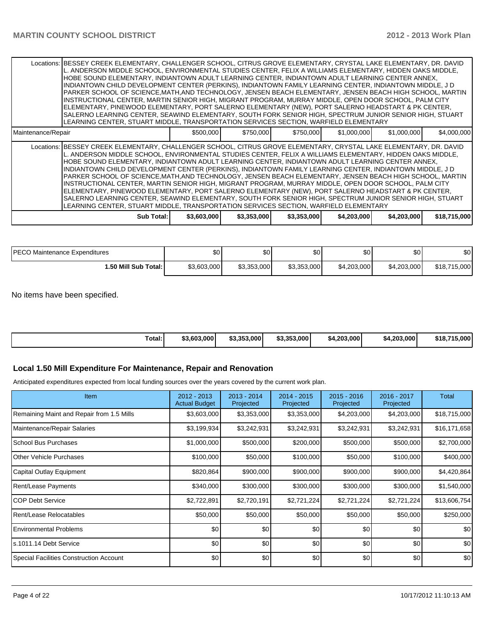|                    | Locations:  BESSEY CREEK ELEMENTARY, CHALLENGER SCHOOL, CITRUS GROVE ELEMENTARY, CRYSTAL LAKE ELEMENTARY, DR. DAVID<br>L. ANDERSON MIDDLE SCHOOL, ENVIRONMENTAL STUDIES CENTER, FELIX A WILLIAMS ELEMENTARY, HIDDEN OAKS MIDDLE,<br>HOBE SOUND ELEMENTARY, INDIANTOWN ADULT LEARNING CENTER, INDIANTOWN ADULT LEARNING CENTER ANNEX,<br>INDIANTOWN CHILD DEVELOPMENT CENTER (PERKINS), INDIANTOWN FAMILY LEARNING CENTER, INDIANTOWN MIDDLE, J D<br>PARKER SCHOOL OF SCIENCE.MATH, AND TECHNOLOGY, JENSEN BEACH ELEMENTARY, JENSEN BEACH HIGH SCHOOL, MARTIN<br>INSTRUCTIONAL CENTER, MARTIN SENIOR HIGH, MIGRANT PROGRAM, MURRAY MIDDLE, OPEN DOOR SCHOOL, PALM CITY<br>ELEMENTARY, PINEWOOD ELEMENTARY, PORT SALERNO ELEMENTARY (NEW), PORT SALERNO HEADSTART & PK CENTER,<br>SALERNO LEARNING CENTER, SEAWIND ELEMENTARY, SOUTH FORK SENIOR HIGH, SPECTRUM JUNIOR SENIOR HIGH, STUART<br>LEARNING CENTER, STUART MIDDLE, TRANSPORTATION SERVICES SECTION, WARFIELD ELEMENTARY  |             |             |             |             |             |              |
|--------------------|-----------------------------------------------------------------------------------------------------------------------------------------------------------------------------------------------------------------------------------------------------------------------------------------------------------------------------------------------------------------------------------------------------------------------------------------------------------------------------------------------------------------------------------------------------------------------------------------------------------------------------------------------------------------------------------------------------------------------------------------------------------------------------------------------------------------------------------------------------------------------------------------------------------------------------------------------------------------------------------|-------------|-------------|-------------|-------------|-------------|--------------|
| Maintenance/Repair |                                                                                                                                                                                                                                                                                                                                                                                                                                                                                                                                                                                                                                                                                                                                                                                                                                                                                                                                                                                   | \$500,000   | \$750,000   | \$750,000   | \$1,000,000 | \$1,000,000 | \$4,000,000  |
|                    | Locations:  BESSEY CREEK ELEMENTARY, CHALLENGER SCHOOL, CITRUS GROVE ELEMENTARY, CRYSTAL LAKE ELEMENTARY, DR. DAVID<br>L. ANDERSON MIDDLE SCHOOL, ENVIRONMENTAL STUDIES CENTER, FELIX A WILLIAMS ELEMENTARY, HIDDEN OAKS MIDDLE,<br>HOBE SOUND ELEMENTARY, INDIANTOWN ADULT LEARNING CENTER, INDIANTOWN ADULT LEARNING CENTER ANNEX,<br>INDIANTOWN CHILD DEVELOPMENT CENTER (PERKINS), INDIANTOWN FAMILY LEARNING CENTER, INDIANTOWN MIDDLE, J D<br>PARKER SCHOOL OF SCIENCE, MATH, AND TECHNOLOGY, JENSEN BEACH ELEMENTARY, JENSEN BEACH HIGH SCHOOL, MARTIN<br>INSTRUCTIONAL CENTER, MARTIN SENIOR HIGH, MIGRANT PROGRAM, MURRAY MIDDLE, OPEN DOOR SCHOOL, PALM CITY<br>ELEMENTARY, PINEWOOD ELEMENTARY, PORT SALERNO ELEMENTARY (NEW), PORT SALERNO HEADSTART & PK CENTER,<br>SALERNO LEARNING CENTER, SEAWIND ELEMENTARY, SOUTH FORK SENIOR HIGH, SPECTRUM JUNIOR SENIOR HIGH, STUART<br>LEARNING CENTER, STUART MIDDLE, TRANSPORTATION SERVICES SECTION, WARFIELD ELEMENTARY |             |             |             |             |             |              |
|                    | Sub Total: I                                                                                                                                                                                                                                                                                                                                                                                                                                                                                                                                                                                                                                                                                                                                                                                                                                                                                                                                                                      | \$3,603,000 | \$3,353,000 | \$3,353,000 | \$4,203,000 | \$4,203,000 | \$18,715,000 |

| <b>IPECO</b><br>) Maintenance Expenditures | \$0         | \$0         | \$0         | \$0         | ሶስ<br>υU    | \$0          |
|--------------------------------------------|-------------|-------------|-------------|-------------|-------------|--------------|
| 1.50 Mill Sub Total: I                     | \$3,603,000 | \$3,353,000 | \$3,353,000 | \$4,203,000 | \$4.203.000 | \$18,715,000 |

No items have been specified.

| Total:<br>\$3.353.000<br>.5.000<br>\$3.353,000<br>\$4.203.000<br>\$18,715<br>\$3,603,000<br>.203.000 l<br>- 54. |
|-----------------------------------------------------------------------------------------------------------------|
|-----------------------------------------------------------------------------------------------------------------|

## **Local 1.50 Mill Expenditure For Maintenance, Repair and Renovation**

Anticipated expenditures expected from local funding sources over the years covered by the current work plan.

| <b>Item</b>                               | $2012 - 2013$<br><b>Actual Budget</b> | 2013 - 2014<br>Projected | $2014 - 2015$<br>Projected | $2015 - 2016$<br>Projected | 2016 - 2017<br>Projected | Total        |
|-------------------------------------------|---------------------------------------|--------------------------|----------------------------|----------------------------|--------------------------|--------------|
| Remaining Maint and Repair from 1.5 Mills | \$3,603,000                           | \$3,353,000              | \$3,353,000                | \$4,203,000                | \$4,203,000              | \$18,715,000 |
| Maintenance/Repair Salaries               | \$3,199,934                           | \$3,242,931              | \$3,242,931                | \$3,242,931                | \$3,242,931              | \$16,171,658 |
| <b>School Bus Purchases</b>               | \$1,000,000                           | \$500,000                | \$200,000                  | \$500,000                  | \$500,000                | \$2,700,000  |
| <b>Other Vehicle Purchases</b>            | \$100,000                             | \$50,000                 | \$100,000                  | \$50,000                   | \$100,000                | \$400,000    |
| Capital Outlay Equipment                  | \$820,864                             | \$900,000                | \$900,000                  | \$900,000                  | \$900,000                | \$4,420,864  |
| Rent/Lease Payments                       | \$340,000                             | \$300,000                | \$300,000                  | \$300,000                  | \$300,000                | \$1,540,000  |
| <b>COP Debt Service</b>                   | \$2,722,891                           | \$2,720,191              | \$2,721,224                | \$2,721,224                | \$2,721,224              | \$13,606,754 |
| Rent/Lease Relocatables                   | \$50,000                              | \$50,000                 | \$50,000                   | \$50,000                   | \$50,000                 | \$250,000    |
| <b>Environmental Problems</b>             | \$0                                   | \$0                      | \$0                        | \$0                        | \$0                      | \$0          |
| s.1011.14 Debt Service                    | \$0                                   | \$0                      | \$0                        | \$0                        | \$0                      | \$0          |
| Special Facilities Construction Account   | \$0                                   | \$0                      | \$0                        | \$0                        | \$0                      | \$0          |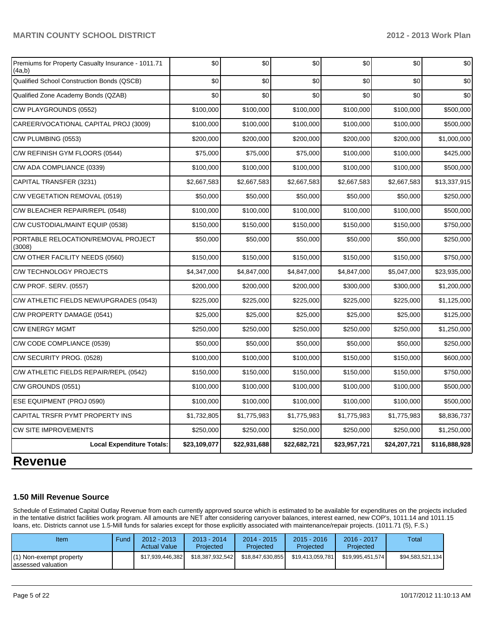## **MARTIN COUNTY SCHOOL DISTRICT 2012 - 2013 Work Plan**

| Premiums for Property Casualty Insurance - 1011.71<br>(4a,b) | \$0          | \$0          | \$0          | \$0          | \$0          | \$0           |
|--------------------------------------------------------------|--------------|--------------|--------------|--------------|--------------|---------------|
| Qualified School Construction Bonds (QSCB)                   | \$0          | \$0          | \$0          | \$0          | \$0          | \$0           |
| Qualified Zone Academy Bonds (QZAB)                          | \$0          | \$0          | \$0          | \$0          | \$0          | \$0           |
| C/W PLAYGROUNDS (0552)                                       | \$100,000    | \$100,000    | \$100,000    | \$100,000    | \$100,000    | \$500,000     |
| CAREER/VOCATIONAL CAPITAL PROJ (3009)                        | \$100,000    | \$100,000    | \$100,000    | \$100,000    | \$100,000    | \$500,000     |
| C/W PLUMBING (0553)                                          | \$200,000    | \$200,000    | \$200,000    | \$200,000    | \$200,000    | \$1,000,000   |
| C/W REFINISH GYM FLOORS (0544)                               | \$75,000     | \$75,000     | \$75,000     | \$100,000    | \$100,000    | \$425,000     |
| C/W ADA COMPLIANCE (0339)                                    | \$100,000    | \$100,000    | \$100,000    | \$100,000    | \$100,000    | \$500,000     |
| CAPITAL TRANSFER (3231)                                      | \$2,667,583  | \$2,667,583  | \$2,667,583  | \$2,667,583  | \$2,667,583  | \$13,337,915  |
| C/W VEGETATION REMOVAL (0519)                                | \$50,000     | \$50,000     | \$50,000     | \$50,000     | \$50,000     | \$250,000     |
| C/W BLEACHER REPAIR/REPL (0548)                              | \$100,000    | \$100,000    | \$100,000    | \$100,000    | \$100,000    | \$500,000     |
| C/W CUSTODIAL/MAINT EQUIP (0538)                             | \$150,000    | \$150,000    | \$150,000    | \$150,000    | \$150,000    | \$750,000     |
| PORTABLE RELOCATION/REMOVAL PROJECT<br>(3008)                | \$50,000     | \$50,000     | \$50,000     | \$50,000     | \$50,000     | \$250,000     |
| C/W OTHER FACILITY NEEDS (0560)                              | \$150,000    | \$150,000    | \$150,000    | \$150,000    | \$150,000    | \$750,000     |
| <b>C/W TECHNOLOGY PROJECTS</b>                               | \$4,347,000  | \$4,847,000  | \$4,847,000  | \$4,847,000  | \$5,047,000  | \$23,935,000  |
| C/W PROF. SERV. (0557)                                       | \$200,000    | \$200,000    | \$200,000    | \$300,000    | \$300,000    | \$1,200,000   |
| C/W ATHLETIC FIELDS NEW/UPGRADES (0543)                      | \$225,000    | \$225,000    | \$225,000    | \$225,000    | \$225,000    | \$1,125,000   |
| C/W PROPERTY DAMAGE (0541)                                   | \$25,000     | \$25,000     | \$25,000     | \$25,000     | \$25,000     | \$125,000     |
| <b>C/W ENERGY MGMT</b>                                       | \$250,000    | \$250,000    | \$250,000    | \$250,000    | \$250,000    | \$1,250,000   |
| C/W CODE COMPLIANCE (0539)                                   | \$50,000     | \$50,000     | \$50,000     | \$50,000     | \$50,000     | \$250,000     |
| C/W SECURITY PROG. (0528)                                    | \$100,000    | \$100,000    | \$100,000    | \$150,000    | \$150,000    | \$600,000     |
| C/W ATHLETIC FIELDS REPAIR/REPL (0542)                       | \$150,000    | \$150,000    | \$150,000    | \$150,000    | \$150,000    | \$750,000     |
| C/W GROUNDS (0551)                                           | \$100,000    | \$100,000    | \$100,000    | \$100,000    | \$100,000    | \$500,000     |
| ESE EQUIPMENT (PROJ 0590)                                    | \$100,000    | \$100,000    | \$100,000    | \$100,000    | \$100,000    | \$500,000     |
| CAPITAL TRSFR PYMT PROPERTY INS                              | \$1,732,805  | \$1,775,983  | \$1,775,983  | \$1,775,983  | \$1,775,983  | \$8,836,737   |
| <b>CW SITE IMPROVEMENTS</b>                                  | \$250,000    | \$250,000    | \$250,000    | \$250,000    | \$250,000    | \$1,250,000   |
| <b>Local Expenditure Totals:</b>                             | \$23,109,077 | \$22,931,688 | \$22,682,721 | \$23,957,721 | \$24,207,721 | \$116,888,928 |

# **Revenue**

## **1.50 Mill Revenue Source**

Schedule of Estimated Capital Outlay Revenue from each currently approved source which is estimated to be available for expenditures on the projects included in the tentative district facilities work program. All amounts are NET after considering carryover balances, interest earned, new COP's, 1011.14 and 1011.15 loans, etc. Districts cannot use 1.5-Mill funds for salaries except for those explicitly associated with maintenance/repair projects. (1011.71 (5), F.S.)

| Item                                           | Fund | $2012 - 2013$<br><b>Actual Value</b> | $2013 - 2014$<br>Projected | 2014 - 2015<br>Projected | $2015 - 2016$<br>Projected | 2016 - 2017<br>Projected | Total            |
|------------------------------------------------|------|--------------------------------------|----------------------------|--------------------------|----------------------------|--------------------------|------------------|
| (1) Non-exempt property<br>lassessed valuation |      | \$17.939.446.382                     | \$18.387.932.542           | \$18.847.630.855         | \$19.413.059.781           | \$19.995.451.574         | \$94,583,521,134 |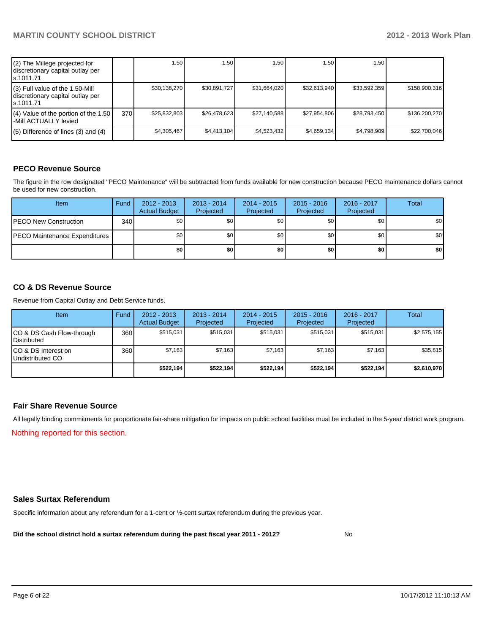| (2) The Millege projected for<br>discretionary capital outlay per<br>s.1011.71    |     | 1.50         | .50 <sub>1</sub> | 1.50         | 1.50         | 1.50         |               |
|-----------------------------------------------------------------------------------|-----|--------------|------------------|--------------|--------------|--------------|---------------|
| (3) Full value of the 1.50-Mill<br>discretionary capital outlay per<br>ls.1011.71 |     | \$30,138,270 | \$30,891,727     | \$31,664,020 | \$32.613.940 | \$33,592,359 | \$158,900,316 |
| (4) Value of the portion of the 1.50<br>-Mill ACTUALLY levied                     | 370 | \$25,832,803 | \$26.478.623     | \$27,140,588 | \$27.954.806 | \$28,793,450 | \$136,200,270 |
| $(5)$ Difference of lines (3) and (4)                                             |     | \$4,305,467  | \$4,413,104      | \$4,523,432  | \$4,659,134  | \$4,798,909  | \$22,700,046  |

## **PECO Revenue Source**

The figure in the row designated "PECO Maintenance" will be subtracted from funds available for new construction because PECO maintenance dollars cannot be used for new construction.

| <b>Item</b>                          | Fund | $2012 - 2013$<br><b>Actual Budget</b> | $2013 - 2014$<br>Projected | $2014 - 2015$<br>Projected | $2015 - 2016$<br>Projected | $2016 - 2017$<br>Projected | Total            |
|--------------------------------------|------|---------------------------------------|----------------------------|----------------------------|----------------------------|----------------------------|------------------|
| <b>IPECO New Construction</b>        | 340  | \$0                                   | \$0                        | \$0                        | \$0                        | \$0                        | \$0 <sub>1</sub> |
| <b>PECO Maintenance Expenditures</b> |      | \$0                                   | \$0                        | \$0                        | \$0                        | \$0                        | \$0 <sub>1</sub> |
|                                      |      | \$0 I                                 | \$0                        | \$0                        | \$0                        | \$0                        | \$0              |

#### **CO & DS Revenue Source**

Revenue from Capital Outlay and Debt Service funds.

| Item                                              | Fund | $2012 - 2013$<br><b>Actual Budget</b> | $2013 - 2014$<br>Projected | $2014 - 2015$<br>Projected | $2015 - 2016$<br>Projected | $2016 - 2017$<br>Projected | Total       |
|---------------------------------------------------|------|---------------------------------------|----------------------------|----------------------------|----------------------------|----------------------------|-------------|
| CO & DS Cash Flow-through<br><b>I</b> Distributed | 360  | \$515,031                             | \$515.031                  | \$515.031                  | \$515.031                  | \$515.031                  | \$2,575,155 |
| ICO & DS Interest on<br>Undistributed CO          | 360  | \$7,163                               | \$7,163                    | \$7,163                    | \$7.163                    | \$7,163                    | \$35,815    |
|                                                   |      | \$522,194                             | \$522.194                  | \$522.194                  | \$522.194]                 | \$522.194]                 | \$2,610,970 |

#### **Fair Share Revenue Source**

Nothing reported for this section. All legally binding commitments for proportionate fair-share mitigation for impacts on public school facilities must be included in the 5-year district work program.

#### **Sales Surtax Referendum**

Specific information about any referendum for a 1-cent or ½-cent surtax referendum during the previous year.

**Did the school district hold a surtax referendum during the past fiscal year 2011 - 2012?**

No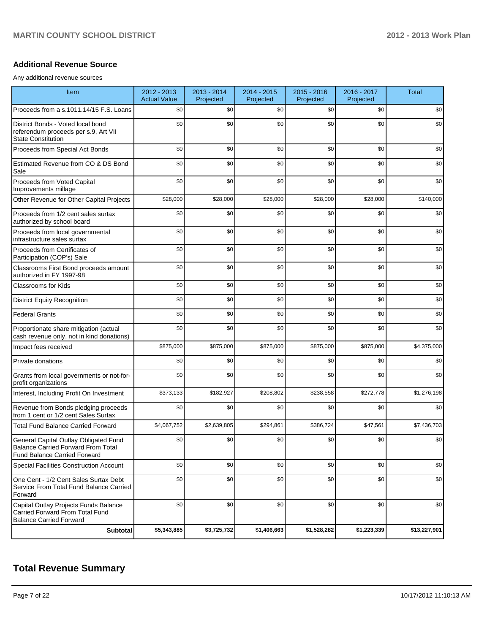#### **Additional Revenue Source**

Any additional revenue sources

| Item                                                                                                                      | 2012 - 2013<br><b>Actual Value</b> | 2013 - 2014<br>Projected | 2014 - 2015<br>Projected | 2015 - 2016<br>Projected | 2016 - 2017<br>Projected | <b>Total</b> |
|---------------------------------------------------------------------------------------------------------------------------|------------------------------------|--------------------------|--------------------------|--------------------------|--------------------------|--------------|
| Proceeds from a s.1011.14/15 F.S. Loans                                                                                   | \$0                                | \$0                      | \$0                      | \$0                      | \$0                      | \$0          |
| District Bonds - Voted local bond<br>referendum proceeds per s.9, Art VII<br><b>State Constitution</b>                    | \$0                                | \$0                      | \$0                      | \$0                      | \$0                      | \$0          |
| Proceeds from Special Act Bonds                                                                                           | \$0                                | \$0                      | \$0                      | \$0                      | \$0                      | \$0          |
| Estimated Revenue from CO & DS Bond<br>Sale                                                                               | \$0                                | \$0                      | \$0                      | \$0                      | \$0                      | \$0          |
| Proceeds from Voted Capital<br>Improvements millage                                                                       | \$0                                | \$0                      | \$0                      | \$0                      | \$0                      | \$0          |
| Other Revenue for Other Capital Projects                                                                                  | \$28,000                           | \$28,000                 | \$28,000                 | \$28,000                 | \$28,000                 | \$140,000    |
| Proceeds from 1/2 cent sales surtax<br>authorized by school board                                                         | \$0                                | \$0                      | \$0                      | \$0                      | \$0                      | \$0          |
| Proceeds from local governmental<br>infrastructure sales surtax                                                           | \$0                                | \$0                      | \$0                      | \$0                      | \$0                      | \$0          |
| Proceeds from Certificates of<br>Participation (COP's) Sale                                                               | \$0                                | \$0                      | \$0                      | \$0                      | \$0                      | \$0          |
| Classrooms First Bond proceeds amount<br>authorized in FY 1997-98                                                         | \$0                                | \$0                      | \$0                      | \$0                      | \$0                      | \$0          |
| Classrooms for Kids                                                                                                       | \$0                                | \$0                      | \$0                      | \$0                      | \$0                      | \$0          |
| <b>District Equity Recognition</b>                                                                                        | \$0                                | \$0                      | \$0                      | \$0                      | \$0                      | \$0          |
| <b>Federal Grants</b>                                                                                                     | \$0                                | \$0                      | \$0                      | \$0                      | \$0                      | \$0          |
| Proportionate share mitigation (actual<br>cash revenue only, not in kind donations)                                       | \$0                                | \$0                      | \$0                      | \$0                      | \$0                      | \$0          |
| Impact fees received                                                                                                      | \$875,000                          | \$875,000                | \$875,000                | \$875,000                | \$875,000                | \$4,375,000  |
| Private donations                                                                                                         | \$0                                | \$0                      | \$0                      | \$0                      | \$0                      | \$0          |
| Grants from local governments or not-for-<br>profit organizations                                                         | \$0                                | \$0                      | \$0                      | \$0                      | \$0                      | \$0          |
| Interest, Including Profit On Investment                                                                                  | \$373,133                          | \$182,927                | \$208,802                | \$238,558                | \$272,778                | \$1,276,198  |
| Revenue from Bonds pledging proceeds<br>from 1 cent or 1/2 cent Sales Surtax                                              | \$0                                | \$0                      | \$0                      | \$0                      | \$0                      | \$0          |
| <b>Total Fund Balance Carried Forward</b>                                                                                 | \$4,067,752                        | \$2,639,805              | \$294,861                | \$386,724                | \$47,561                 | \$7,436,703  |
| General Capital Outlay Obligated Fund<br><b>Balance Carried Forward From Total</b><br><b>Fund Balance Carried Forward</b> | \$0                                | \$0                      | \$0                      | \$0                      | \$0                      | \$0          |
| <b>Special Facilities Construction Account</b>                                                                            | \$0                                | \$0                      | \$0                      | \$0                      | \$0                      | \$0          |
| One Cent - 1/2 Cent Sales Surtax Debt<br>Service From Total Fund Balance Carried<br>Forward                               | \$0                                | \$0                      | \$0                      | \$0                      | \$0                      | \$0          |
| Capital Outlay Projects Funds Balance<br>Carried Forward From Total Fund<br><b>Balance Carried Forward</b>                | \$0                                | \$0                      | \$0                      | \$0                      | \$0                      | \$0          |
| Subtotal                                                                                                                  | \$5,343,885                        | \$3,725,732              | \$1,406,663              | \$1,528,282              | \$1,223,339              | \$13,227,901 |

# **Total Revenue Summary**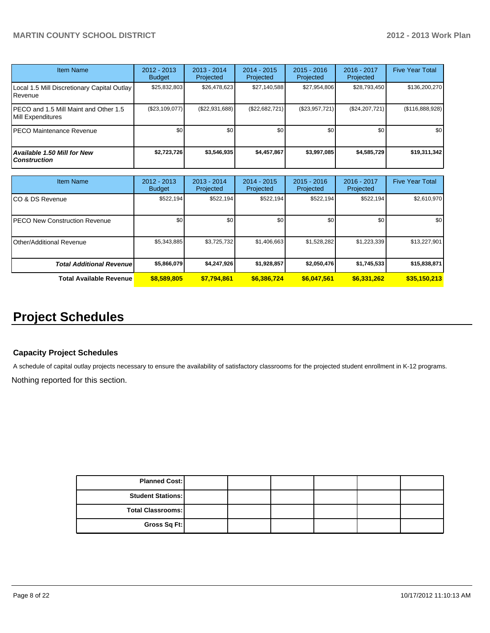| <b>Item Name</b>                                           | 2012 - 2013<br><b>Budget</b> | $2013 - 2014$<br>Projected | $2014 - 2015$<br>Projected | $2015 - 2016$<br>Projected | $2016 - 2017$<br>Projected | <b>Five Year Total</b> |
|------------------------------------------------------------|------------------------------|----------------------------|----------------------------|----------------------------|----------------------------|------------------------|
| Local 1.5 Mill Discretionary Capital Outlay<br>Revenue     | \$25,832,803                 | \$26,478,623               | \$27,140,588               | \$27,954,806               | \$28,793,450               | \$136,200,270          |
| PECO and 1.5 Mill Maint and Other 1.5<br>Mill Expenditures | (\$23,109,077)               | (S22.931.688)              | (\$22,682,721)             | (\$23,957,721)             | (S24, 207, 721)            | (\$116,888,928)        |
| <b>PECO Maintenance Revenue</b>                            | \$0                          | \$0                        | \$0                        | \$0                        | \$0                        | \$0 <sub>1</sub>       |
| <b>Available 1.50 Mill for New</b><br><b>Construction</b>  | \$2,723,726                  | \$3.546.935                | \$4,457,867                | \$3,997,085                | \$4,585,729                | \$19,311,342           |

| <b>Item Name</b>                      | 2012 - 2013<br><b>Budget</b> | $2013 - 2014$<br>Projected | $2014 - 2015$<br>Projected | $2015 - 2016$<br>Projected | 2016 - 2017<br>Projected | <b>Five Year Total</b> |
|---------------------------------------|------------------------------|----------------------------|----------------------------|----------------------------|--------------------------|------------------------|
| ICO & DS Revenue                      | \$522,194                    | \$522,194                  | \$522.194                  | \$522,194                  | \$522,194                | \$2,610,970            |
| <b>IPECO New Construction Revenue</b> | \$0                          | \$0                        | \$0                        | \$0                        | \$0 <sub>1</sub>         | \$0 <sub>1</sub>       |
| IOther/Additional Revenue             | \$5,343,885                  | \$3,725,732                | \$1,406,663                | \$1,528,282                | \$1,223,339              | \$13,227,901           |
| <b>Total Additional Revenuel</b>      | \$5,866,079                  | \$4,247,926                | \$1,928,857                | \$2,050,476                | \$1,745,533              | \$15,838,871           |
| <b>Total Available Revenue</b>        | \$8,589,805                  | \$7,794,861                | \$6,386,724                | \$6,047,561                | \$6,331,262              | \$35,150,213           |

# **Project Schedules**

## **Capacity Project Schedules**

A schedule of capital outlay projects necessary to ensure the availability of satisfactory classrooms for the projected student enrollment in K-12 programs.

Nothing reported for this section.

| <b>Planned Cost:</b>     |  |  |  |
|--------------------------|--|--|--|
| <b>Student Stations:</b> |  |  |  |
| Total Classrooms:        |  |  |  |
| Gross Sq Ft:             |  |  |  |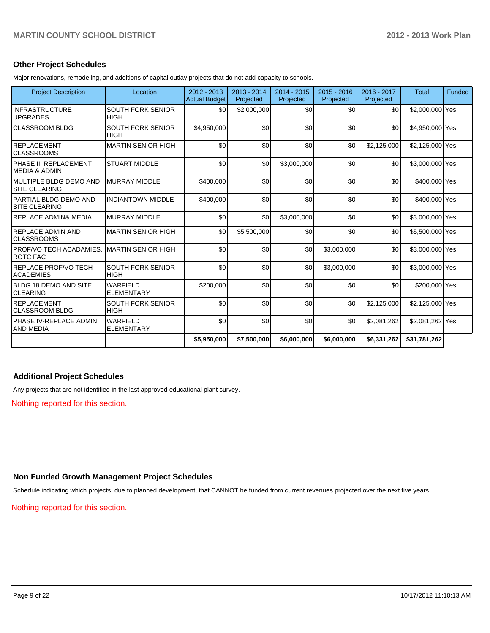#### **Other Project Schedules**

Major renovations, remodeling, and additions of capital outlay projects that do not add capacity to schools.

| <b>Project Description</b>                      | Location                                | $2012 - 2013$<br><b>Actual Budget</b> | $2013 - 2014$<br>Projected | $2014 - 2015$<br>Projected | $2015 - 2016$<br>Projected | $2016 - 2017$<br>Projected | <b>Total</b>    | Funded |
|-------------------------------------------------|-----------------------------------------|---------------------------------------|----------------------------|----------------------------|----------------------------|----------------------------|-----------------|--------|
| <b>INFRASTRUCTURE</b><br><b>UPGRADES</b>        | <b>SOUTH FORK SENIOR</b><br><b>HIGH</b> | \$0                                   | \$2,000,000                | \$0                        | \$0                        | \$0                        | \$2,000,000 Yes |        |
| <b>CLASSROOM BLDG</b>                           | <b>SOUTH FORK SENIOR</b><br><b>HIGH</b> | \$4,950,000                           | \$0                        | \$0                        | \$0                        | \$0                        | \$4,950,000 Yes |        |
| IREPLACEMENT<br>ICLASSROOMS                     | <b>MARTIN SENIOR HIGH</b>               | \$0                                   | \$0                        | \$0                        | \$0                        | \$2,125,000                | \$2,125,000 Yes |        |
| IPHASE III REPLACEMENT<br>IMEDIA & ADMIN        | <b>STUART MIDDLE</b>                    | \$0                                   | \$0                        | \$3,000,000                | \$0                        | \$0                        | \$3,000,000 Yes |        |
| IMULTIPLE BLDG DEMO AND<br>ISITE CLEARING       | <b>MURRAY MIDDLE</b>                    | \$400.000                             | \$0                        | \$0                        | \$0                        | \$0                        | \$400,000 Yes   |        |
| lPARTIAL BLDG DEMO AND<br><b>ISITE CLEARING</b> | <b>INDIANTOWN MIDDLE</b>                | \$400,000                             | \$0                        | \$0                        | \$0                        | \$0                        | \$400,000 Yes   |        |
| <b>REPLACE ADMIN&amp; MEDIA</b>                 | <b>MURRAY MIDDLE</b>                    | \$0                                   | \$0                        | \$3,000,000                | \$0                        | \$0                        | \$3,000,000 Yes |        |
| IREPLACE ADMIN AND<br><b>CLASSROOMS</b>         | <b>MARTIN SENIOR HIGH</b>               | \$0                                   | \$5,500,000                | \$0                        | \$0                        | \$0                        | \$5,500,000 Yes |        |
| PROF/VO TECH ACADAMIES.<br><b>IROTC FAC</b>     | <b>MARTIN SENIOR HIGH</b>               | \$0                                   | \$0                        | \$0                        | \$3,000,000                | \$0                        | \$3,000,000 Yes |        |
| IREPLACE PROF/VO TECH<br><b>ACADEMIES</b>       | <b>SOUTH FORK SENIOR</b><br><b>HIGH</b> | \$0                                   | \$0                        | \$0                        | \$3,000,000                | \$0                        | \$3,000,000 Yes |        |
| <b>BLDG 18 DEMO AND SITE</b><br>ICLEARING       | <b>WARFIELD</b><br><b>ELEMENTARY</b>    | \$200,000                             | \$0                        | \$0                        | \$0                        | \$0                        | \$200,000 Yes   |        |
| <b>REPLACEMENT</b><br>ICLASSROOM BLDG           | <b>SOUTH FORK SENIOR</b><br><b>HIGH</b> | \$0                                   | \$0                        | \$0                        | \$0                        | \$2,125,000                | \$2,125,000 Yes |        |
| IPHASE IV-REPLACE ADMIN<br>IAND MEDIA           | <b>WARFIFI D</b><br><b>ELEMENTARY</b>   | \$0                                   | \$0                        | \$0                        | \$0                        | \$2,081,262                | \$2,081,262 Yes |        |
|                                                 |                                         | \$5,950,000                           | \$7,500,000                | \$6,000,000                | \$6,000,000                | \$6,331,262                | \$31,781,262    |        |

#### **Additional Project Schedules**

Any projects that are not identified in the last approved educational plant survey.

Nothing reported for this section.

#### **Non Funded Growth Management Project Schedules**

Schedule indicating which projects, due to planned development, that CANNOT be funded from current revenues projected over the next five years.

Nothing reported for this section.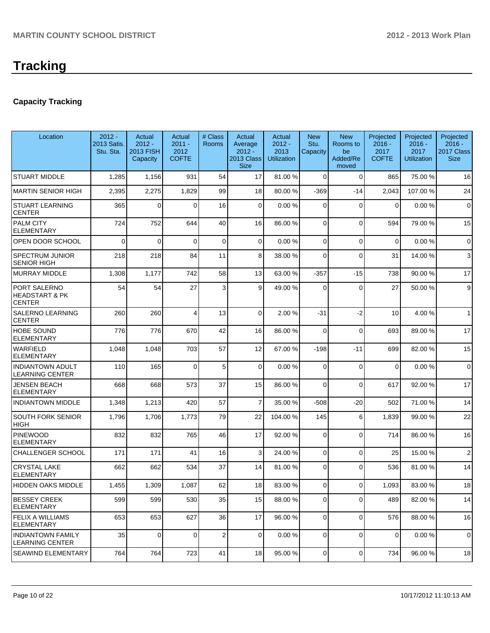# **Capacity Tracking**

| Location                                                   | $2012 -$<br>2013 Satis.<br>Stu. Sta. | Actual<br>$2012 -$<br><b>2013 FISH</b><br>Capacity | Actual<br>$2011 -$<br>2012<br><b>COFTE</b> | # Class<br><b>Rooms</b> | Actual<br>Average<br>$2012 -$<br><b>2013 Class</b><br><b>Size</b> | Actual<br>$2012 -$<br>2013<br><b>Utilization</b> | <b>New</b><br>Stu.<br>Capacity | <b>New</b><br>Rooms to<br>be<br>Added/Re<br>moved | Projected<br>$2016 -$<br>2017<br><b>COFTE</b> | Projected<br>$2016 -$<br>2017<br>Utilization | Projected<br>$2016 -$<br>2017 Class<br><b>Size</b> |
|------------------------------------------------------------|--------------------------------------|----------------------------------------------------|--------------------------------------------|-------------------------|-------------------------------------------------------------------|--------------------------------------------------|--------------------------------|---------------------------------------------------|-----------------------------------------------|----------------------------------------------|----------------------------------------------------|
| <b>STUART MIDDLE</b>                                       | 1,285                                | 1,156                                              | 931                                        | 54                      | 17                                                                | 81.00 %                                          | $\Omega$                       | $\Omega$                                          | 865                                           | 75.00 %                                      | 16                                                 |
| <b>MARTIN SENIOR HIGH</b>                                  | 2,395                                | 2,275                                              | 1,829                                      | 99                      | 18                                                                | 80.00 %                                          | $-369$                         | $-14$                                             | 2,043                                         | 107.00%                                      | 24                                                 |
| <b>STUART LEARNING</b><br><b>CENTER</b>                    | 365                                  | $\Omega$                                           | $\Omega$                                   | 16                      | $\overline{0}$                                                    | 0.00%                                            | $\Omega$                       | $\Omega$                                          | $\Omega$                                      | 0.00%                                        | $\mathbf 0$                                        |
| <b>PALM CITY</b><br><b>ELEMENTARY</b>                      | 724                                  | 752                                                | 644                                        | 40                      | 16                                                                | 86.00 %                                          | 0                              | $\Omega$                                          | 594                                           | 79.00 %                                      | 15                                                 |
| OPEN DOOR SCHOOL                                           | $\Omega$                             | $\Omega$                                           | $\Omega$                                   | $\mathbf 0$             | $\overline{0}$                                                    | 0.00%                                            | $\overline{0}$                 | $\Omega$                                          | $\Omega$                                      | 0.00%                                        | $\mathbf 0$                                        |
| <b>SPECTRUM JUNIOR</b><br><b>SENIOR HIGH</b>               | 218                                  | 218                                                | 84                                         | 11                      | 8 <sup>1</sup>                                                    | 38.00 %                                          | $\Omega$                       | $\Omega$                                          | 31                                            | 14.00 %                                      | 3                                                  |
| <b>MURRAY MIDDLE</b>                                       | 1,308                                | 1,177                                              | 742                                        | 58                      | 13                                                                | 63.00 %                                          | $-357$                         | $-15$                                             | 738                                           | 90.00%                                       | 17                                                 |
| PORT SALERNO<br><b>HEADSTART &amp; PK</b><br><b>CENTER</b> | 54                                   | 54                                                 | 27                                         | 3                       | $\vert$ 9                                                         | 49.00 %                                          | $\Omega$                       | $\Omega$                                          | 27                                            | 50.00 %                                      | 9                                                  |
| <b>SALERNO LEARNING</b><br><b>CENTER</b>                   | 260                                  | 260                                                | Δ                                          | 13                      | $\Omega$                                                          | 2.00%                                            | $-31$                          | $-2$                                              | 10                                            | 4.00%                                        | $\mathbf{1}$                                       |
| <b>HOBE SOUND</b><br><b>ELEMENTARY</b>                     | 776                                  | 776                                                | 670                                        | 42                      | 16                                                                | 86.00 %                                          | 0                              | $\Omega$                                          | 693                                           | 89.00 %                                      | 17                                                 |
| <b>WARFIELD</b><br><b>ELEMENTARY</b>                       | 1,048                                | 1,048                                              | 703                                        | 57                      | 12                                                                | 67.00 %                                          | $-198$                         | -11                                               | 699                                           | 82.00%                                       | 15                                                 |
| <b>INDIANTOWN ADULT</b><br><b>LEARNING CENTER</b>          | 110                                  | 165                                                | $\Omega$                                   | 5                       | $\mathbf 0$                                                       | 0.00%                                            | $\Omega$                       | $\Omega$                                          | $\Omega$                                      | 0.00%                                        | $\mathbf 0$                                        |
| <b>JENSEN BEACH</b><br><b>ELEMENTARY</b>                   | 668                                  | 668                                                | 573                                        | 37                      | 15                                                                | 86.00 %                                          | $\Omega$                       | $\Omega$                                          | 617                                           | 92.00%                                       | 17                                                 |
| <b>INDIANTOWN MIDDLE</b>                                   | 1,348                                | 1,213                                              | 420                                        | 57                      | $\overline{7}$                                                    | 35.00 %                                          | $-508$                         | $-20$                                             | 502                                           | 71.00 %                                      | 14                                                 |
| <b>SOUTH FORK SENIOR</b><br><b>HIGH</b>                    | 1,796                                | 1,706                                              | 1,773                                      | 79                      | 22                                                                | 104.00 %                                         | 145                            | 6                                                 | 1,839                                         | 99.00 %                                      | 22                                                 |
| PINEWOOD<br><b>ELEMENTARY</b>                              | 832                                  | 832                                                | 765                                        | 46                      | 17                                                                | 92.00 %                                          | 0                              | $\Omega$                                          | 714                                           | 86.00%                                       | 16                                                 |
| <b>CHALLENGER SCHOOL</b>                                   | 171                                  | 171                                                | 41                                         | 16                      | 3 <sup>1</sup>                                                    | 24.00 %                                          | $\overline{0}$                 | $\Omega$                                          | 25                                            | 15.00 %                                      | $\overline{2}$                                     |
| <b>CRYSTAL LAKE</b><br><b>ELEMENTARY</b>                   | 662                                  | 662                                                | 534                                        | 37                      | 14                                                                | 81.00 %                                          | 0                              | $\Omega$                                          | 536                                           | 81.00%                                       | 14                                                 |
| <b>HIDDEN OAKS MIDDLE</b>                                  | 1,455                                | 1,309                                              | 1,087                                      | 62                      | 18 <sup>1</sup>                                                   | 83.00 %                                          | $\overline{0}$                 | $\Omega$                                          | 1,093                                         | 83.00 %                                      | 18                                                 |
| <b>BESSEY CREEK</b><br><b>ELEMENTARY</b>                   | 599                                  | 599                                                | 530                                        | 35                      | 15                                                                | 88.00 %                                          | 0                              | $\mathbf 0$                                       | 489                                           | 82.00%                                       | 14                                                 |
| <b>FELIX A WILLIAMS</b><br><b>ELEMENTARY</b>               | 653                                  | 653                                                | 627                                        | 36                      | 17                                                                | 96.00 %                                          | $\overline{0}$                 | $\overline{0}$                                    | 576                                           | 88.00%                                       | 16                                                 |
| <b>INDIANTOWN FAMILY</b><br>LEARNING CENTER                | 35                                   | $\mathbf 0$                                        | $\overline{0}$                             | $\overline{\mathbf{c}}$ | $\overline{0}$                                                    | 0.00%                                            | 0                              | 0                                                 | 0                                             | 0.00%                                        | 0                                                  |
| <b>SEAWIND ELEMENTARY</b>                                  | 764                                  | 764                                                | 723                                        | 41                      | 18                                                                | 95.00 %                                          | $\overline{0}$                 | $\overline{0}$                                    | 734                                           | 96.00 %                                      | 18                                                 |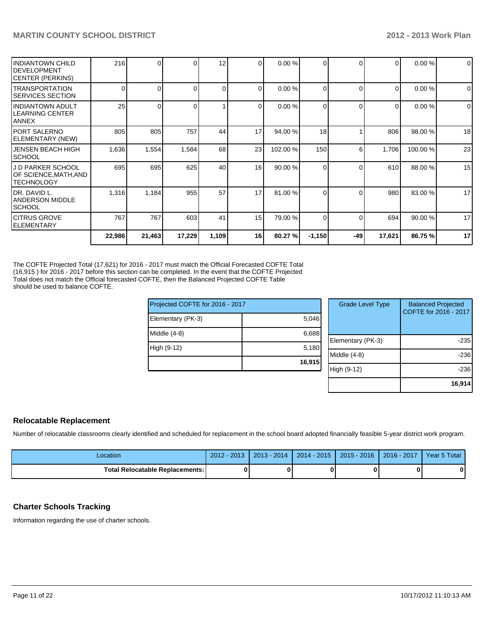|                                                                      | 22,986   | 21,463   | 17,229 | 1,109 | 16 <sup>1</sup> | 80.27 %  | $-1,150$ | -49      | 17,621   | 86.75%   | 17          |
|----------------------------------------------------------------------|----------|----------|--------|-------|-----------------|----------|----------|----------|----------|----------|-------------|
| <b>ICITRUS GROVE</b><br>IELEMENTARY                                  | 767      | 767      | 603    | 41    | 15              | 79.00 %  | $\Omega$ | $\Omega$ | 694      | 90.00 %  | 17          |
| IDR. DAVID L.<br><b>ANDERSON MIDDLE</b><br><b>ISCHOOL</b>            | 1,316    | 1,184    | 955    | 57    | 17              | 81.00 %  | 0        | $\Omega$ | 980      | 83.00 %  | 17          |
| J D PARKER SCHOOL<br>OF SCIENCE,MATH,AND<br><b>TECHNOLOGY</b>        | 695      | 695      | 625    | 40    | 16 <sup>1</sup> | 90.00 %  | 0        | $\Omega$ | 610      | 88.00 %  | 15          |
| <b>JENSEN BEACH HIGH</b><br><b>SCHOOL</b>                            | 1,636    | 1,554    | 1,584  | 68    | 23              | 102.00 % | 150      | 6        | 1,706    | 100.00 % | 23          |
| IPORT SALERNO<br>ELEMENTARY (NEW)                                    | 805      | 805      | 757    | 44    | 17              | 94.00 %  | 18       |          | 806      | 98.00 %  | 18          |
| <b>INDIANTOWN ADULT</b><br>LEARNING CENTER<br>ANNEX                  | 25       | $\Omega$ |        |       | 0               | 0.00 %   | 0        | $\Omega$ | $\Omega$ | 0.00%    | $\mathbf 0$ |
| <b>TRANSPORTATION</b><br><b>SERVICES SECTION</b>                     | $\Omega$ | 01       | 0      | Οl    | 0               | 0.00 %   | 0        | $\Omega$ | $\Omega$ | 0.00%    | $\Omega$    |
| <b>IINDIANTOWN CHILD</b><br>IDEVELOPMENT<br><b>ICENTER (PERKINS)</b> | 216      | 01       |        | 12    | 0               | 0.00 %   | $\Omega$ | $\Omega$ | $\Omega$ | 0.00%    | $\mathbf 0$ |
|                                                                      |          |          |        |       |                 |          |          |          |          |          |             |

The COFTE Projected Total (17,621) for 2016 - 2017 must match the Official Forecasted COFTE Total (16,915 ) for 2016 - 2017 before this section can be completed. In the event that the COFTE Projected Total does not match the Official forecasted COFTE, then the Balanced Projected COFTE Table should be used to balance COFTE.

| Projected COFTE for 2016 - 2017 |        | <b>Grade Level Type</b> | <b>Balanced Projected</b><br>COFTE for 2016 - 2017 |
|---------------------------------|--------|-------------------------|----------------------------------------------------|
| Elementary (PK-3)               | 5,046  |                         |                                                    |
| Middle (4-8)                    | 6,688  |                         |                                                    |
|                                 |        | Elementary (PK-3)       | $-235$                                             |
| High (9-12)                     | 5,180  |                         |                                                    |
|                                 |        | Middle (4-8)            | $-236$                                             |
|                                 | 16,915 |                         |                                                    |
|                                 |        | High (9-12)             | $-236$                                             |
|                                 |        |                         |                                                    |
|                                 |        |                         | 16,914                                             |

## **Relocatable Replacement**

Number of relocatable classrooms clearly identified and scheduled for replacement in the school board adopted financially feasible 5-year district work program.

| Location                          | $2012 - 2013$ | 2013 - 2014 | $2014 - 2015$ | $\sqrt{2015 - 2016}$   2016 - 2017 | Year 5 Total |
|-----------------------------------|---------------|-------------|---------------|------------------------------------|--------------|
| Total Relocatable Replacements: I |               |             |               |                                    |              |

## **Charter Schools Tracking**

Information regarding the use of charter schools.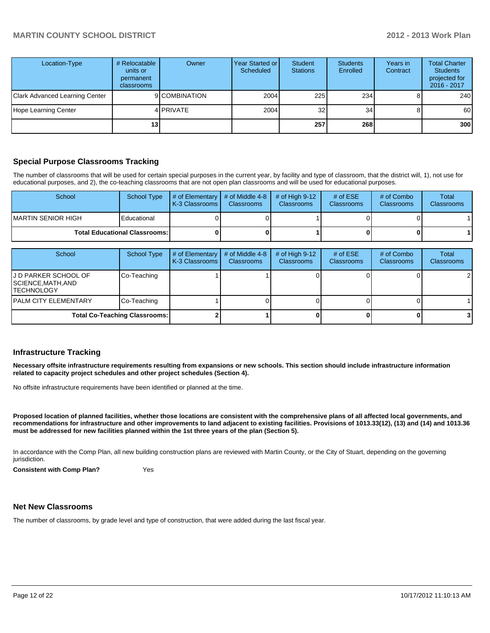| Location-Type                         | # Relocatable<br>units or<br>permanent<br>classrooms | Owner         | Year Started or<br>Scheduled | Student<br><b>Stations</b> | <b>Students</b><br>Enrolled | Years in<br>Contract | <b>Total Charter</b><br><b>Students</b><br>projected for<br>2016 - 2017 |
|---------------------------------------|------------------------------------------------------|---------------|------------------------------|----------------------------|-----------------------------|----------------------|-------------------------------------------------------------------------|
| <b>Clark Advanced Learning Center</b> |                                                      | 9 COMBINATION | 2004                         | 225                        | 234                         |                      | 240                                                                     |
| Hope Learning Center                  |                                                      | 4 PRIVATE     | 2004                         | 32                         | 34                          |                      | 60                                                                      |
|                                       | 13 I                                                 |               |                              | 257                        | 268                         |                      | 300                                                                     |

## **Special Purpose Classrooms Tracking**

The number of classrooms that will be used for certain special purposes in the current year, by facility and type of classroom, that the district will, 1), not use for educational purposes, and 2), the co-teaching classrooms that are not open plan classrooms and will be used for educational purposes.

| School              | School Type                          | $\parallel$ # of Elementary $\parallel$ # of Middle 4-8 $\parallel$<br><b>K-3 Classrooms</b> | <b>Classrooms</b> | $\#$ of High 9-12<br><b>Classrooms</b> | # of $ESE$<br><b>Classrooms</b> | # of Combo<br><b>Classrooms</b> | Total<br><b>Classrooms</b> |
|---------------------|--------------------------------------|----------------------------------------------------------------------------------------------|-------------------|----------------------------------------|---------------------------------|---------------------------------|----------------------------|
| IMARTIN SENIOR HIGH | Educational                          |                                                                                              |                   |                                        |                                 |                                 |                            |
|                     | <b>Total Educational Classrooms:</b> |                                                                                              |                   |                                        |                                 |                                 |                            |

| School                                                          | <b>School Type</b> | # of Elementary<br>K-3 Classrooms | # of Middle 4-8<br><b>Classrooms</b> | # of High $9-12$<br><b>Classrooms</b> | # of $ESE$<br><b>Classrooms</b> | # of Combo<br><b>Classrooms</b> | Total<br><b>Classrooms</b> |
|-----------------------------------------------------------------|--------------------|-----------------------------------|--------------------------------------|---------------------------------------|---------------------------------|---------------------------------|----------------------------|
| IJ D PARKER SCHOOL OF<br>SCIENCE,MATH,AND<br><b>ITECHNOLOGY</b> | Co-Teaching        |                                   |                                      |                                       |                                 |                                 | $\overline{2}$             |
| IPALM CITY ELEMENTARY                                           | Co-Teaching        |                                   |                                      |                                       |                                 |                                 |                            |
| <b>Total Co-Teaching Classrooms:</b>                            |                    |                                   |                                      |                                       |                                 |                                 | 31                         |

#### **Infrastructure Tracking**

**Necessary offsite infrastructure requirements resulting from expansions or new schools. This section should include infrastructure information related to capacity project schedules and other project schedules (Section 4).**

No offsite infrastructure requirements have been identified or planned at the time.

**Proposed location of planned facilities, whether those locations are consistent with the comprehensive plans of all affected local governments, and recommendations for infrastructure and other improvements to land adjacent to existing facilities. Provisions of 1013.33(12), (13) and (14) and 1013.36 must be addressed for new facilities planned within the 1st three years of the plan (Section 5).**

In accordance with the Comp Plan, all new building construction plans are reviewed with Martin County, or the City of Stuart, depending on the governing jurisdiction.

**Consistent with Comp Plan?** Yes

#### **Net New Classrooms**

The number of classrooms, by grade level and type of construction, that were added during the last fiscal year.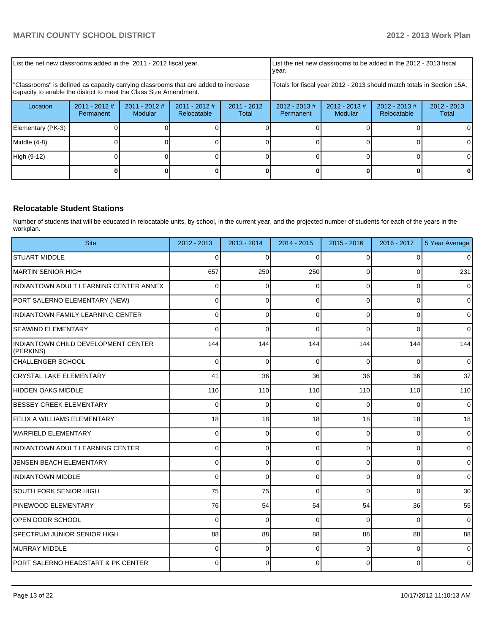| List the net new classrooms added in the 2011 - 2012 fiscal year.                                                                                       |                              |                            |                                                                        | List the net new classrooms to be added in the 2012 - 2013 fiscal<br>Ivear. |                               |                             |                                |                        |
|---------------------------------------------------------------------------------------------------------------------------------------------------------|------------------------------|----------------------------|------------------------------------------------------------------------|-----------------------------------------------------------------------------|-------------------------------|-----------------------------|--------------------------------|------------------------|
| "Classrooms" is defined as capacity carrying classrooms that are added to increase<br>capacity to enable the district to meet the Class Size Amendment. |                              |                            | Totals for fiscal year 2012 - 2013 should match totals in Section 15A. |                                                                             |                               |                             |                                |                        |
| Location                                                                                                                                                | $2011 - 2012$ #<br>Permanent | $2011 - 2012$ #<br>Modular | $2011 - 2012$ #<br><b>Relocatable</b>                                  | $2011 - 2012$<br>Total                                                      | $2012 - 2013 \#$<br>Permanent | $2012 - 2013 \#$<br>Modular | $2012 - 2013$ #<br>Relocatable | $2012 - 2013$<br>Total |
| Elementary (PK-3)                                                                                                                                       |                              |                            |                                                                        |                                                                             |                               |                             |                                |                        |
| Middle $(4-8)$                                                                                                                                          |                              |                            |                                                                        |                                                                             |                               |                             |                                |                        |
| High (9-12)                                                                                                                                             |                              |                            |                                                                        |                                                                             |                               |                             |                                |                        |
|                                                                                                                                                         |                              |                            |                                                                        |                                                                             |                               |                             |                                |                        |

## **Relocatable Student Stations**

Number of students that will be educated in relocatable units, by school, in the current year, and the projected number of students for each of the years in the workplan.

| <b>Site</b>                                      | $2012 - 2013$ | $2013 - 2014$ | $2014 - 2015$ | $2015 - 2016$ | $2016 - 2017$  | 5 Year Average      |
|--------------------------------------------------|---------------|---------------|---------------|---------------|----------------|---------------------|
| <b>STUART MIDDLE</b>                             | $\Omega$      | 0             | $\Omega$      | 0             | 0              | $\mathbf{0}$        |
| MARTIN SENIOR HIGH                               | 657           | 250           | 250           | 0             | $\overline{0}$ | 231                 |
| INDIANTOWN ADULT LEARNING CENTER ANNEX           | 0             | 0             | $\Omega$      | $\Omega$      | $\Omega$       | $\mathbf{0}$        |
| PORT SALERNO ELEMENTARY (NEW)                    | 0             | 0             | $\Omega$      | $\Omega$      | 0              | $\mathbf{0}$        |
| INDIANTOWN FAMILY LEARNING CENTER                | $\Omega$      | 0             | $\Omega$      | $\Omega$      | 0              | $\mathsf{O}\xspace$ |
| <b>SEAWIND ELEMENTARY</b>                        | $\Omega$      | 0             | ∩             | $\Omega$      | $\Omega$       | $\mathbf{0}$        |
| INDIANTOWN CHILD DEVELOPMENT CENTER<br>(PERKINS) | 144           | 144           | 144           | 144           | 144            | 144                 |
| CHALLENGER SCHOOL                                | $\Omega$      | $\Omega$      | $\Omega$      | $\Omega$      | $\Omega$       | $\overline{0}$      |
| <b>CRYSTAL LAKE ELEMENTARY</b>                   | 41            | 36            | 36            | 36            | 36             | 37                  |
| <b>HIDDEN OAKS MIDDLE</b>                        | 110           | 110           | 110           | 110           | 110            | 110                 |
| <b>BESSEY CREEK ELEMENTARY</b>                   | 0             | 0             | $\Omega$      | $\Omega$      | $\Omega$       | $\overline{0}$      |
| FELIX A WILLIAMS ELEMENTARY                      | 18            | 18            | 18            | 18            | 18             | 18                  |
| WARFIELD ELEMENTARY                              | $\Omega$      | $\Omega$      | $\Omega$      | $\Omega$      | 0              | $\overline{0}$      |
| INDIANTOWN ADULT LEARNING CENTER                 | $\Omega$      | 0             | $\Omega$      | $\Omega$      | $\overline{0}$ | $\overline{0}$      |
| <b>JENSEN BEACH ELEMENTARY</b>                   | $\Omega$      | $\Omega$      | $\Omega$      | $\Omega$      | $\Omega$       | $\overline{0}$      |
| <b>INDIANTOWN MIDDLE</b>                         | $\Omega$      | $\Omega$      | $\Omega$      | $\Omega$      | $\Omega$       | $\Omega$            |
| <b>SOUTH FORK SENIOR HIGH</b>                    | 75            | 75            | $\Omega$      | $\Omega$      | $\Omega$       | 30                  |
| <b>PINEWOOD ELEMENTARY</b>                       | 76            | 54            | 54            | 54            | 36             | 55                  |
| OPEN DOOR SCHOOL                                 | $\Omega$      | $\Omega$      | $\Omega$      | $\Omega$      | $\Omega$       | $\Omega$            |
| <b>SPECTRUM JUNIOR SENIOR HIGH</b>               | 88            | 88            | 88            | 88            | 88             | 88                  |
| <b>IMURRAY MIDDLE</b>                            | $\Omega$      | 0             | $\Omega$      | $\Omega$      | $\Omega$       | $\overline{0}$      |
| PORT SALERNO HEADSTART & PK CENTER               | $\Omega$      | $\Omega$      | $\Omega$      | $\Omega$      | $\overline{0}$ | $\overline{0}$      |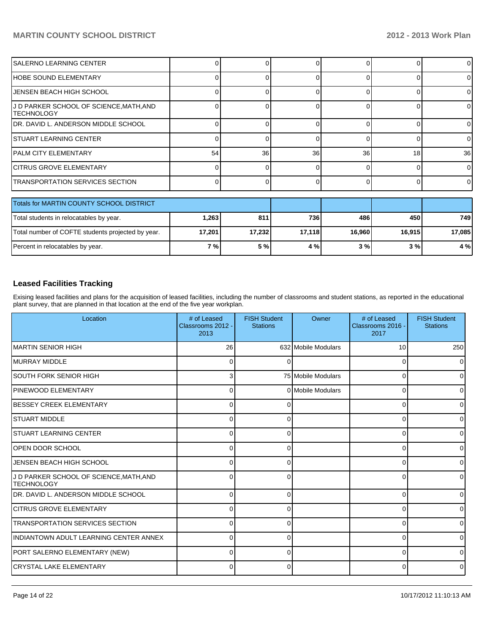## **MARTIN COUNTY SCHOOL DISTRICT 2012 - 2013 Work Plan**

| SALERNO LEARNING CENTER                                     |       |     |     |              |     | 0        |  |  |
|-------------------------------------------------------------|-------|-----|-----|--------------|-----|----------|--|--|
| IHOBE SOUND ELEMENTARY                                      |       |     |     |              |     | 01       |  |  |
| JENSEN BEACH HIGH SCHOOL                                    |       |     |     |              |     | $\Omega$ |  |  |
| J D PARKER SCHOOL OF SCIENCE,MATH,AND<br><b>ITECHNOLOGY</b> |       |     |     | <sup>0</sup> |     | $\Omega$ |  |  |
| IDR. DAVID L. ANDERSON MIDDLE SCHOOL                        |       |     |     |              |     | 0        |  |  |
| <b>STUART LEARNING CENTER</b>                               |       |     |     |              |     | $\Omega$ |  |  |
| IPALM CITY ELEMENTARY                                       | 54    | 36  | 36  | 36           | 18  | 36       |  |  |
| <b>CITRUS GROVE ELEMENTARY</b>                              |       |     |     |              |     | $\Omega$ |  |  |
| <b>TRANSPORTATION SERVICES SECTION</b>                      |       |     |     | ∩            |     | $\Omega$ |  |  |
|                                                             |       |     |     |              |     |          |  |  |
| Totals for MARTIN COUNTY SCHOOL DISTRICT                    |       |     |     |              |     |          |  |  |
| Total students in relocatables by year.                     | 1,263 | 811 | 736 | 486          | 450 | 749      |  |  |

| Percent in relocatables by year. | 7%1 | $E0$ .<br><br><b>J</b> 70 | 1% | 3% | 3% | 4 % |
|----------------------------------|-----|---------------------------|----|----|----|-----|
|                                  |     |                           |    |    |    |     |

## **Leased Facilities Tracking**

Exising leased facilities and plans for the acquisition of leased facilities, including the number of classrooms and student stations, as reported in the educational plant survey, that are planned in that location at the end of the five year workplan.

Total number of COFTE students projected by year. **17,201 17,232 17,118 16,960 16,915 17,085**

| Location                                                     | # of Leased<br>Classrooms 2012 -<br>2013 | <b>FISH Student</b><br><b>Stations</b> | Owner               | # of Leased<br>Classrooms 2016 -<br>2017 | <b>FISH Student</b><br><b>Stations</b> |
|--------------------------------------------------------------|------------------------------------------|----------------------------------------|---------------------|------------------------------------------|----------------------------------------|
| IMARTIN SENIOR HIGH                                          | 26                                       |                                        | 632 Mobile Modulars | 10                                       | 250                                    |
| IMURRAY MIDDLE                                               | 0                                        | ∩                                      |                     | 0                                        | 01                                     |
| <b>SOUTH FORK SENIOR HIGH</b>                                | 3                                        |                                        | 75 Mobile Modulars  | 0                                        | 0                                      |
| PINEWOOD ELEMENTARY                                          | $\Omega$                                 |                                        | 0 Mobile Modulars   | 0                                        | 0                                      |
| <b>IBESSEY CREEK ELEMENTARY</b>                              | $\Omega$                                 |                                        |                     | 0                                        | 01                                     |
| <b>STUART MIDDLE</b>                                         | $\Omega$                                 | 0                                      |                     | 0                                        | 01                                     |
| <b>STUART LEARNING CENTER</b>                                | $\Omega$                                 | 0                                      |                     | 0                                        | 01                                     |
| IOPEN DOOR SCHOOL                                            | 0                                        | 0                                      |                     | 0                                        | 0                                      |
| JENSEN BEACH HIGH SCHOOL                                     | $\Omega$                                 | 0                                      |                     | 0                                        | 0                                      |
| J D PARKER SCHOOL OF SCIENCE, MATH, AND<br><b>TECHNOLOGY</b> | 0                                        | O                                      |                     | 0                                        | 0                                      |
| IDR. DAVID L. ANDERSON MIDDLE SCHOOL                         | $\Omega$                                 | 0                                      |                     | $\Omega$                                 | ٥I                                     |
| <b>ICITRUS GROVE ELEMENTARY</b>                              | O                                        |                                        |                     | U                                        | 0                                      |
| <b>TRANSPORTATION SERVICES SECTION</b>                       | 0                                        | 0                                      |                     | U                                        | 0                                      |
| INDIANTOWN ADULT LEARNING CENTER ANNEX                       | 0                                        | 0                                      |                     | 0                                        | 0                                      |
| PORT SALERNO ELEMENTARY (NEW)                                | 0                                        | 0                                      |                     | 0                                        | 0                                      |
| <b>CRYSTAL LAKE ELEMENTARY</b>                               | $\Omega$                                 | $\Omega$                               |                     | 0                                        | $\overline{0}$                         |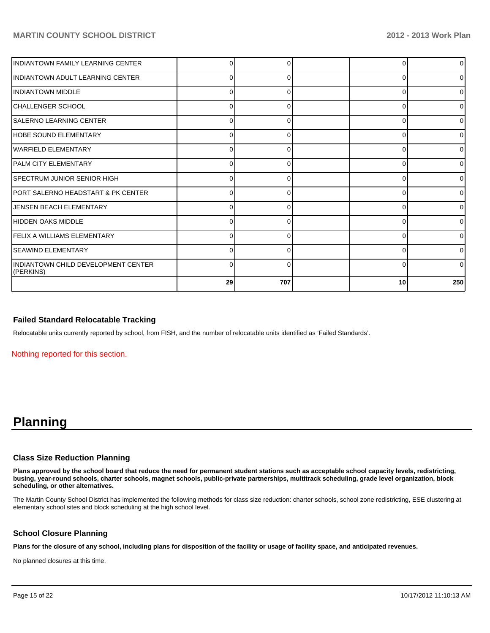| INDIANTOWN FAMILY LEARNING CENTER                |          |     |          | $\overline{0}$ |
|--------------------------------------------------|----------|-----|----------|----------------|
| IINDIANTOWN ADULT LEARNING CENTER                | 0        | O   | 0        | $\overline{0}$ |
| <b>INDIANTOWN MIDDLE</b>                         | $\Omega$ |     | ∩        | ٥I             |
| ICHALLENGER SCHOOL                               | 0        |     |          | $\overline{0}$ |
| ISALERNO LEARNING CENTER                         | 0        |     | 0        | $\overline{0}$ |
| HOBE SOUND ELEMENTARY                            | $\Omega$ | ∩   | 0        | $\overline{0}$ |
| <b>WARFIELD ELEMENTARY</b>                       | 0        |     |          | $\overline{0}$ |
| <b>PALM CITY ELEMENTARY</b>                      | 0        | 0   | 0        | $\overline{0}$ |
| ISPECTRUM JUNIOR SENIOR HIGH                     | $\Omega$ | ŋ   | $\Omega$ | $\overline{0}$ |
| IPORT SALERNO HEADSTART & PK CENTER              | $\Omega$ |     |          | 0              |
| JENSEN BEACH ELEMENTARY                          | 0        | 0   | ∩        | $\overline{0}$ |
| HIDDEN OAKS MIDDLE                               | 0        | O   | 0        | $\overline{0}$ |
| FELIX A WILLIAMS ELEMENTARY                      | O        |     | C        | $\overline{0}$ |
| <b>ISEAWIND ELEMENTARY</b>                       | 0        |     |          | $\overline{0}$ |
| INDIANTOWN CHILD DEVELOPMENT CENTER<br>(PERKINS) | 0        | U   | 0        | $\Omega$       |
|                                                  | 29       | 707 | 10       | 250            |

## **Failed Standard Relocatable Tracking**

Relocatable units currently reported by school, from FISH, and the number of relocatable units identified as 'Failed Standards'.

Nothing reported for this section.

# **Planning**

#### **Class Size Reduction Planning**

**Plans approved by the school board that reduce the need for permanent student stations such as acceptable school capacity levels, redistricting, busing, year-round schools, charter schools, magnet schools, public-private partnerships, multitrack scheduling, grade level organization, block scheduling, or other alternatives.**

The Martin County School District has implemented the following methods for class size reduction: charter schools, school zone redistricting, ESE clustering at elementary school sites and block scheduling at the high school level.

## **School Closure Planning**

**Plans for the closure of any school, including plans for disposition of the facility or usage of facility space, and anticipated revenues.**

No planned closures at this time.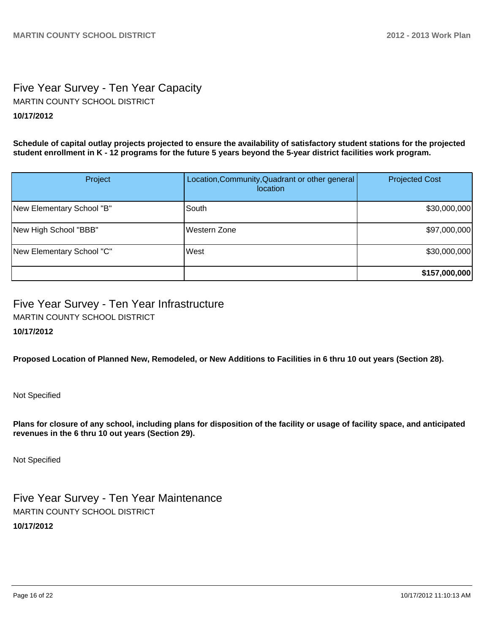# Five Year Survey - Ten Year Capacity **10/17/2012** MARTIN COUNTY SCHOOL DISTRICT

**Schedule of capital outlay projects projected to ensure the availability of satisfactory student stations for the projected student enrollment in K - 12 programs for the future 5 years beyond the 5-year district facilities work program.**

| Project                   | Location, Community, Quadrant or other general<br><i>location</i> | <b>Projected Cost</b> |
|---------------------------|-------------------------------------------------------------------|-----------------------|
| New Elementary School "B" | South                                                             | \$30,000,000          |
| New High School "BBB"     | Western Zone                                                      | \$97,000,000          |
| New Elementary School "C" | West                                                              | \$30,000,000          |
|                           |                                                                   | \$157,000,000         |

# Five Year Survey - Ten Year Infrastructure MARTIN COUNTY SCHOOL DISTRICT

## **10/17/2012**

**Proposed Location of Planned New, Remodeled, or New Additions to Facilities in 6 thru 10 out years (Section 28).**

Not Specified

**Plans for closure of any school, including plans for disposition of the facility or usage of facility space, and anticipated revenues in the 6 thru 10 out years (Section 29).**

Not Specified

Five Year Survey - Ten Year Maintenance **10/17/2012** MARTIN COUNTY SCHOOL DISTRICT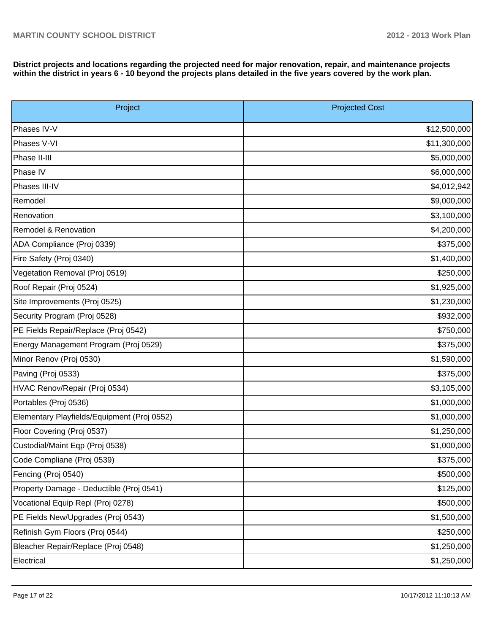**District projects and locations regarding the projected need for major renovation, repair, and maintenance projects within the district in years 6 - 10 beyond the projects plans detailed in the five years covered by the work plan.**

| Project                                     | <b>Projected Cost</b> |  |  |  |
|---------------------------------------------|-----------------------|--|--|--|
| Phases IV-V                                 | \$12,500,000          |  |  |  |
| Phases V-VI                                 | \$11,300,000          |  |  |  |
| Phase II-III                                | \$5,000,000           |  |  |  |
| Phase IV                                    | \$6,000,000           |  |  |  |
| Phases III-IV                               | \$4,012,942           |  |  |  |
| Remodel                                     | \$9,000,000           |  |  |  |
| Renovation                                  | \$3,100,000           |  |  |  |
| Remodel & Renovation                        | \$4,200,000           |  |  |  |
| ADA Compliance (Proj 0339)                  | \$375,000             |  |  |  |
| Fire Safety (Proj 0340)                     | \$1,400,000           |  |  |  |
| Vegetation Removal (Proj 0519)              | \$250,000             |  |  |  |
| Roof Repair (Proj 0524)                     | \$1,925,000           |  |  |  |
| Site Improvements (Proj 0525)               | \$1,230,000           |  |  |  |
| Security Program (Proj 0528)                | \$932,000             |  |  |  |
| PE Fields Repair/Replace (Proj 0542)        | \$750,000             |  |  |  |
| Energy Management Program (Proj 0529)       | \$375,000             |  |  |  |
| Minor Renov (Proj 0530)                     | \$1,590,000           |  |  |  |
| Paving (Proj 0533)                          | \$375,000             |  |  |  |
| HVAC Renov/Repair (Proj 0534)               | \$3,105,000           |  |  |  |
| Portables (Proj 0536)                       | \$1,000,000           |  |  |  |
| Elementary Playfields/Equipment (Proj 0552) | \$1,000,000           |  |  |  |
| Floor Covering (Proj 0537)                  | \$1,250,000           |  |  |  |
| Custodial/Maint Eqp (Proj 0538)             | \$1,000,000           |  |  |  |
| Code Compliane (Proj 0539)                  | \$375,000             |  |  |  |
| Fencing (Proj 0540)                         | \$500,000             |  |  |  |
| Property Damage - Deductible (Proj 0541)    | \$125,000             |  |  |  |
| Vocational Equip Repl (Proj 0278)           | \$500,000             |  |  |  |
| PE Fields New/Upgrades (Proj 0543)          | \$1,500,000           |  |  |  |
| Refinish Gym Floors (Proj 0544)             | \$250,000             |  |  |  |
| Bleacher Repair/Replace (Proj 0548)         | \$1,250,000           |  |  |  |
| Electrical                                  | \$1,250,000           |  |  |  |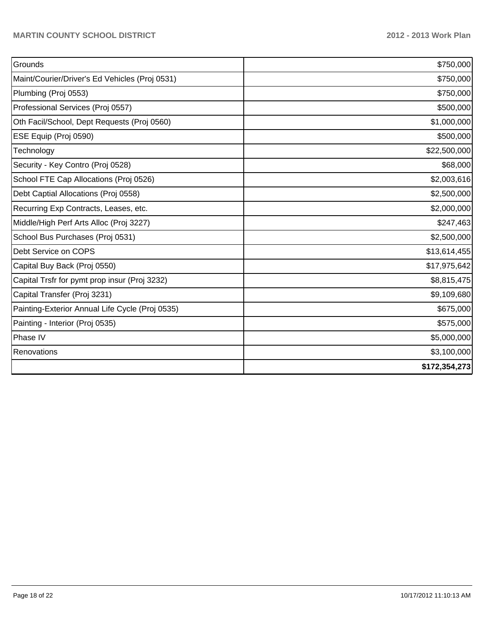| Grounds                                         | \$750,000     |
|-------------------------------------------------|---------------|
| Maint/Courier/Driver's Ed Vehicles (Proj 0531)  | \$750,000     |
| Plumbing (Proj 0553)                            | \$750,000     |
| Professional Services (Proj 0557)               | \$500,000     |
| Oth Facil/School, Dept Requests (Proj 0560)     | \$1,000,000   |
| ESE Equip (Proj 0590)                           | \$500,000     |
| Technology                                      | \$22,500,000  |
| Security - Key Contro (Proj 0528)               | \$68,000      |
| School FTE Cap Allocations (Proj 0526)          | \$2,003,616   |
| Debt Captial Allocations (Proj 0558)            | \$2,500,000   |
| Recurring Exp Contracts, Leases, etc.           | \$2,000,000   |
| Middle/High Perf Arts Alloc (Proj 3227)         | \$247,463     |
| School Bus Purchases (Proj 0531)                | \$2,500,000   |
| Debt Service on COPS                            | \$13,614,455  |
| Capital Buy Back (Proj 0550)                    | \$17,975,642  |
| Capital Trsfr for pymt prop insur (Proj 3232)   | \$8,815,475   |
| Capital Transfer (Proj 3231)                    | \$9,109,680   |
| Painting-Exterior Annual Life Cycle (Proj 0535) | \$675,000     |
| Painting - Interior (Proj 0535)                 | \$575,000     |
| Phase IV                                        | \$5,000,000   |
| Renovations                                     | \$3,100,000   |
|                                                 | \$172,354,273 |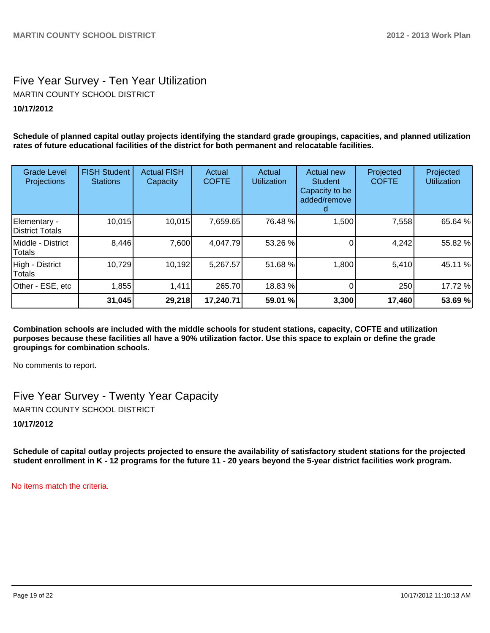# Five Year Survey - Ten Year Utilization **10/17/2012** MARTIN COUNTY SCHOOL DISTRICT

**Schedule of planned capital outlay projects identifying the standard grade groupings, capacities, and planned utilization rates of future educational facilities of the district for both permanent and relocatable facilities.**

| <b>Grade Level</b><br>Projections | <b>FISH Student</b><br><b>Stations</b> | <b>Actual FISH</b><br>Capacity | Actual<br><b>COFTE</b> | Actual<br><b>Utilization</b> | Actual new<br><b>Student</b><br>Capacity to be<br>added/remove | Projected<br><b>COFTE</b> | Projected<br><b>Utilization</b> |
|-----------------------------------|----------------------------------------|--------------------------------|------------------------|------------------------------|----------------------------------------------------------------|---------------------------|---------------------------------|
| Elementary -<br>District Totals   | 10,015                                 | 10,015                         | 7,659.65               | 76.48 %                      | 1,500                                                          | 7,558                     | 65.64 %                         |
| IMiddle - District<br>Totals      | 8,446                                  | 7,600                          | 4,047.79               | 53.26 %                      |                                                                | 4,242                     | 55.82 %                         |
| High - District<br>Totals         | 10,729                                 | 10,192                         | 5,267.57               | 51.68 %                      | 1,800                                                          | 5,410                     | 45.11 %                         |
| Other - ESE, etc                  | 1,855                                  | 1,411                          | 265.70                 | 18.83 %                      |                                                                | 250                       | 17.72 %                         |
|                                   | 31,045                                 | 29,218                         | 17,240.71              | 59.01 %                      | 3,300                                                          | 17,460                    | 53.69 %                         |

**Combination schools are included with the middle schools for student stations, capacity, COFTE and utilization purposes because these facilities all have a 90% utilization factor. Use this space to explain or define the grade groupings for combination schools.**

No comments to report.

Five Year Survey - Twenty Year Capacity MARTIN COUNTY SCHOOL DISTRICT

**10/17/2012**

**Schedule of capital outlay projects projected to ensure the availability of satisfactory student stations for the projected student enrollment in K - 12 programs for the future 11 - 20 years beyond the 5-year district facilities work program.**

No items match the criteria.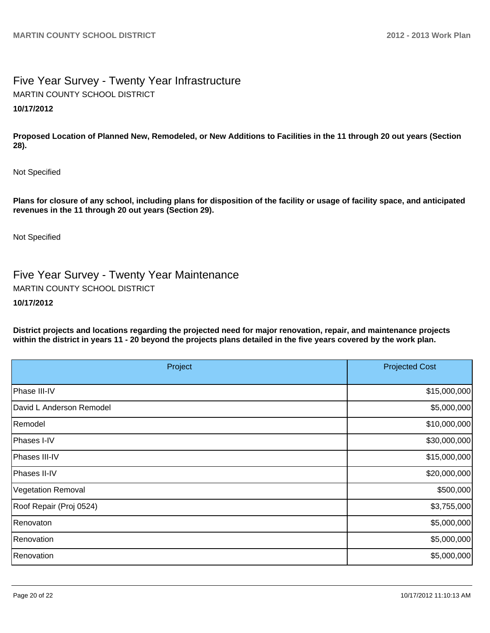# Five Year Survey - Twenty Year Infrastructure **10/17/2012** MARTIN COUNTY SCHOOL DISTRICT

**Proposed Location of Planned New, Remodeled, or New Additions to Facilities in the 11 through 20 out years (Section 28).**

Not Specified

**Plans for closure of any school, including plans for disposition of the facility or usage of facility space, and anticipated revenues in the 11 through 20 out years (Section 29).**

Not Specified

Five Year Survey - Twenty Year Maintenance MARTIN COUNTY SCHOOL DISTRICT

#### **10/17/2012**

**District projects and locations regarding the projected need for major renovation, repair, and maintenance projects within the district in years 11 - 20 beyond the projects plans detailed in the five years covered by the work plan.**

| Project                  | <b>Projected Cost</b> |
|--------------------------|-----------------------|
| Phase III-IV             | \$15,000,000          |
| David L Anderson Remodel | \$5,000,000           |
| Remodel                  | \$10,000,000          |
| Phases I-IV              | \$30,000,000          |
| Phases III-IV            | \$15,000,000          |
| Phases II-IV             | \$20,000,000          |
| Vegetation Removal       | \$500,000             |
| Roof Repair (Proj 0524)  | \$3,755,000           |
| Renovaton                | \$5,000,000           |
| Renovation               | \$5,000,000           |
| <b>Renovation</b>        | \$5,000,000           |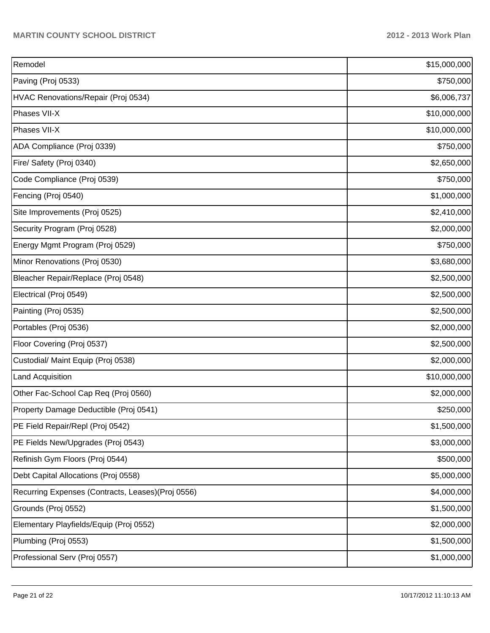| Remodel                                            | \$15,000,000 |  |  |
|----------------------------------------------------|--------------|--|--|
| Paving (Proj 0533)                                 | \$750,000    |  |  |
| HVAC Renovations/Repair (Proj 0534)                | \$6,006,737  |  |  |
| Phases VII-X                                       | \$10,000,000 |  |  |
| Phases VII-X                                       | \$10,000,000 |  |  |
| ADA Compliance (Proj 0339)                         | \$750,000    |  |  |
| Fire/ Safety (Proj 0340)                           | \$2,650,000  |  |  |
| Code Compliance (Proj 0539)                        | \$750,000    |  |  |
| Fencing (Proj 0540)                                | \$1,000,000  |  |  |
| Site Improvements (Proj 0525)                      | \$2,410,000  |  |  |
| Security Program (Proj 0528)                       | \$2,000,000  |  |  |
| Energy Mgmt Program (Proj 0529)                    | \$750,000    |  |  |
| Minor Renovations (Proj 0530)                      | \$3,680,000  |  |  |
| Bleacher Repair/Replace (Proj 0548)                | \$2,500,000  |  |  |
| Electrical (Proj 0549)                             | \$2,500,000  |  |  |
| Painting (Proj 0535)                               | \$2,500,000  |  |  |
| Portables (Proj 0536)                              | \$2,000,000  |  |  |
| Floor Covering (Proj 0537)                         | \$2,500,000  |  |  |
| Custodial/ Maint Equip (Proj 0538)                 | \$2,000,000  |  |  |
| Land Acquisition                                   | \$10,000,000 |  |  |
| Other Fac-School Cap Req (Proj 0560)               | \$2,000,000  |  |  |
| Property Damage Deductible (Proj 0541)             | \$250,000    |  |  |
| PE Field Repair/Repl (Proj 0542)                   | \$1,500,000  |  |  |
| PE Fields New/Upgrades (Proj 0543)                 | \$3,000,000  |  |  |
| Refinish Gym Floors (Proj 0544)                    | \$500,000    |  |  |
| Debt Capital Allocations (Proj 0558)               | \$5,000,000  |  |  |
| Recurring Expenses (Contracts, Leases) (Proj 0556) | \$4,000,000  |  |  |
| Grounds (Proj 0552)                                | \$1,500,000  |  |  |
| Elementary Playfields/Equip (Proj 0552)            | \$2,000,000  |  |  |
| Plumbing (Proj 0553)                               | \$1,500,000  |  |  |
| Professional Serv (Proj 0557)                      | \$1,000,000  |  |  |